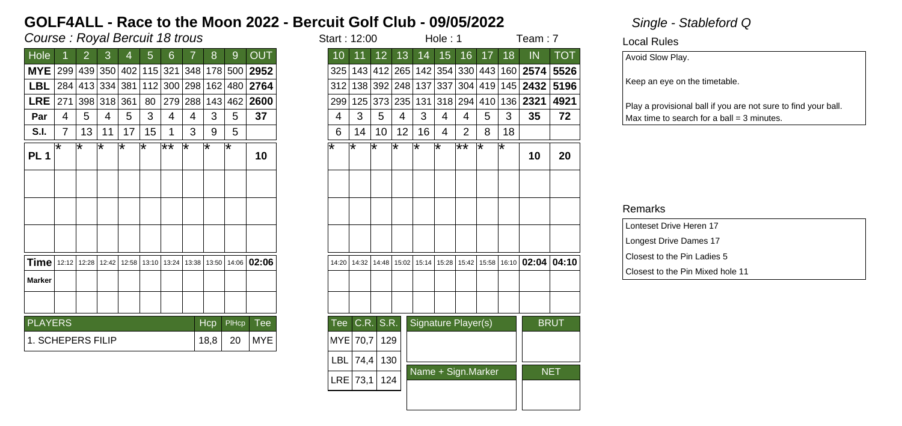## Course : Royal Bercuit 18 trous in the start is not start in the start in the start in the start in the start in the start in the start in the start in the start in the start in the start in the start in the start in the s

| Hole              |     | 2           | 3                   | 4     | 5   | 6           |         | 8     | 9       | <b>OUT</b>   |
|-------------------|-----|-------------|---------------------|-------|-----|-------------|---------|-------|---------|--------------|
| <b>MYE</b>        |     |             | 299 439 350 402 115 |       |     |             | 321 348 |       |         | 178 500 2952 |
|                   |     |             | 284 413 334 381     |       | 112 |             | 300 298 |       | 162 480 | 2764         |
| <b>LRE</b>        | 271 |             | 398 318 361         |       | 80  | 279         | 288     |       | 143 462 | 2600         |
|                   | 4   | 5           | 4                   | 5     | 3   | 4           | 4       | 3     | 5       | 37           |
| S.I.              | 7   | 13          | 11                  | 17    | 15  |             | 3       | 9     | 5       |              |
|                   | ⊺∗  | ∗           | ∗                   | ⊺∗    | ⊺∗  | ౹⋇⋇         | ⊺∗      | ₩     | l*      |              |
| <b>PL1</b>        |     |             |                     |       |     |             |         |       |         | 10           |
|                   |     |             |                     |       |     |             |         |       |         |              |
|                   |     |             |                     |       |     |             |         |       |         |              |
|                   |     |             |                     |       |     |             |         |       |         |              |
|                   |     |             |                     |       |     |             |         |       |         |              |
|                   |     |             |                     |       |     |             |         |       |         |              |
| Time              |     | 12:12 12:28 | 12:42               | 12:58 |     | 13:10 13:24 | 13:38   | 13:50 |         | 14:06 02:06  |
|                   |     |             |                     |       |     |             |         |       |         |              |
| <b>Marker</b>     |     |             |                     |       |     |             |         |       |         |              |
|                   |     |             |                     |       |     |             |         |       |         |              |
| <b>PLAYERS</b>    |     |             |                     |       |     |             |         | Hcp   | PIHcp   | Tee          |
| 1. SCHEPERS FILIP |     |             |                     |       |     |             |         | 18,8  | 20      | MYE          |
|                   |     |             |                     |       |     |             |         |       |         |              |

| Course : Royal Bercuit 18 trous |                |    |         |     |                             |                 |     |      |       |                                                                                                    |            | Start: 12:00 |                 |                 | Hole: 1 |                     |                |    | Team: 7 |                                                                   |             |
|---------------------------------|----------------|----|---------|-----|-----------------------------|-----------------|-----|------|-------|----------------------------------------------------------------------------------------------------|------------|--------------|-----------------|-----------------|---------|---------------------|----------------|----|---------|-------------------------------------------------------------------|-------------|
| <b>Hole</b>                     |                | 2  | 3       | 4   | 5                           | 6               |     | 8    | 9     | <b>OUT</b>                                                                                         | 10         | 11           | 12 <sup>2</sup> | 13              | 14      | 15                  | 16             | 17 | 18      | IN                                                                | <b>TOT</b>  |
| MYE 299 439 350 402 115 321     |                |    |         |     |                             |                 | 348 |      |       | 178 500 2952                                                                                       |            |              |                 |                 |         |                     |                |    |         | 325   143   412   265   142   354   330   443   160   2574   5526 |             |
| <b>LBL</b>                      |                |    |         |     | 284 413 334 381 112 300 298 |                 |     | 162  |       | 480 2764                                                                                           |            |              | 312 138 392 248 |                 |         | 137 337             |                |    |         | 304   419   145   <b>2432</b>                                     | 5196        |
| $LRE$  271                      |                |    | 398 318 | 361 | 80                          | 279 288         |     | 143  |       | 462 2600                                                                                           |            | 299 125      |                 | 373 235         | 131     |                     | 318 294        |    |         | 410 136 2321                                                      | 4921        |
| Par                             | 4              | 5  | 4       | 5   | 3                           | 4               | 4   | 3    | 5     | 37                                                                                                 | 4          | 3            | 5               | 4               | 3       | 4                   | 4              | 5  | 3       | 35                                                                | 72          |
| S.I.                            | $\overline{7}$ | 13 | 11      | 17  | 15                          | 1               | 3   | 9    | 5     |                                                                                                    | 6          | 14           | 10              | 12 <sup>2</sup> | 16      | 4                   | $\overline{2}$ | 8  | 18      |                                                                   |             |
| PL <sub>1</sub>                 | l*             | l* | ¥       | ⊺∗  | ¥                           | $\overline{**}$ | ∗   | ⊺∗   | ⊺∗    | 10                                                                                                 | ⊺∗         | ⊺∗           | ⊺∗              | ⊺*              | ⊺∗      | ౹∗                  | ౹∗∗            | ⊺∗ | ⊺*      | 10                                                                | 20          |
|                                 |                |    |         |     |                             |                 |     |      |       |                                                                                                    |            |              |                 |                 |         |                     |                |    |         |                                                                   |             |
|                                 |                |    |         |     |                             |                 |     |      |       |                                                                                                    |            |              |                 |                 |         |                     |                |    |         |                                                                   |             |
|                                 |                |    |         |     |                             |                 |     |      |       |                                                                                                    |            |              |                 |                 |         |                     |                |    |         |                                                                   |             |
|                                 |                |    |         |     |                             |                 |     |      |       | <b>Time</b>   12:12   12:28   12:42   12:58   13:10   13:24   13:38   13:50   14:06   <b>02:06</b> | 14:20      | 14:32        | 14:48           |                 |         |                     |                |    |         | $15:02$   15:14   15:28   15:42   15:58   16:10   02:04   04:10   |             |
| Marker                          |                |    |         |     |                             |                 |     |      |       |                                                                                                    |            |              |                 |                 |         |                     |                |    |         |                                                                   |             |
|                                 |                |    |         |     |                             |                 |     |      |       |                                                                                                    |            |              |                 |                 |         |                     |                |    |         |                                                                   |             |
| <b>PLAYERS</b>                  |                |    |         |     |                             |                 |     | Hcp  | PIHcp | <b>Tee</b>                                                                                         | <b>Tee</b> |              | C.R. S.R.       |                 |         | Signature Player(s) |                |    |         |                                                                   | <b>BRUT</b> |
| 1. SCHEPERS FILIP               |                |    |         |     |                             |                 |     | 18,8 | 20    | <b>MYE</b>                                                                                         |            | MYE 70,7     | 129             |                 |         |                     |                |    |         |                                                                   |             |
|                                 |                |    |         |     |                             |                 |     |      |       |                                                                                                    | <b>LBL</b> | 74,4         | 130             |                 |         |                     |                |    |         |                                                                   |             |
|                                 |                |    |         |     |                             |                 |     |      |       |                                                                                                    |            | $LRE$ 73,1   | 124             |                 |         | Name + Sign.Marker  |                |    |         |                                                                   | <b>NET</b>  |
|                                 |                |    |         |     |                             |                 |     |      |       |                                                                                                    |            |              |                 |                 |         |                     |                |    |         |                                                                   |             |
|                                 |                |    |         |     |                             |                 |     |      |       |                                                                                                    |            |              |                 |                 |         |                     |                |    |         |                                                                   |             |

### Local Rules

Avoid Slow Play.

Keep an eye on the timetable.

Play a provisional ball if you are not sure to find your ball.  $Max$  time to search for a ball = 3 minutes.

| Lonteset Drive Heren 17          |
|----------------------------------|
| Longest Drive Dames 17           |
| Closest to the Pin Ladies 5      |
| Closest to the Pin Mixed hole 11 |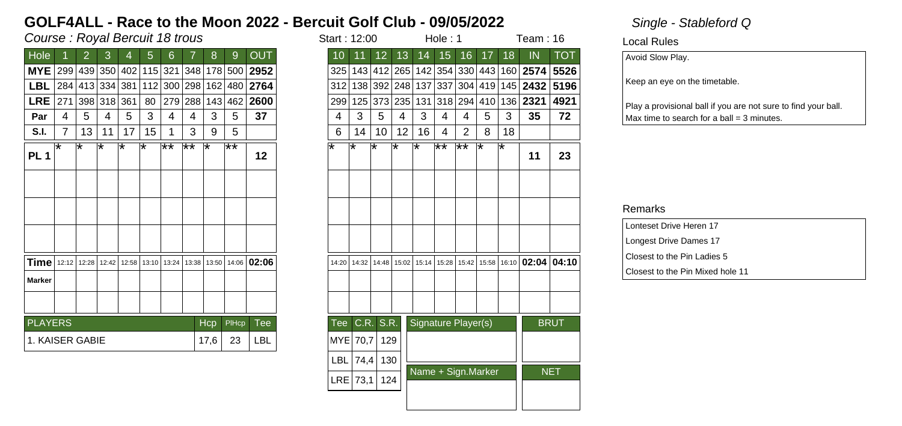## Course : Royal Bercuit 18 trous in the start is not in the start in the start in the start in the start in the start in the start in the start in the start in the start in the start in the start in the start in the start i

| Course : Royal Bercuit 18 trous |                |    |         |     |    |                 |                 |      |       |                                                                                                    |    | Start: 12:00 |            |                 |                 | Hole: 1 |                     |                |    | Team: $16$ |                                                                   |             |
|---------------------------------|----------------|----|---------|-----|----|-----------------|-----------------|------|-------|----------------------------------------------------------------------------------------------------|----|--------------|------------|-----------------|-----------------|---------|---------------------|----------------|----|------------|-------------------------------------------------------------------|-------------|
| <b>Hole</b>                     |                | 2  | 3       | 4   | 5  | 6               |                 | 8    | 9     | <b>OUT</b>                                                                                         |    | 10           | 11         | 12 <sup>2</sup> | 13              | 14      | 15                  | 16             | 17 | 18         | IN                                                                | <b>TOT</b>  |
| MYE 299 439 350 402 115 321     |                |    |         |     |    |                 | 348             |      |       | 178 500 2952                                                                                       |    |              |            |                 |                 |         |                     |                |    |            | 325   143   412   265   142   354   330   443   160   2574   5526 |             |
| LBL 284 413 334 381 112 300 298 |                |    |         |     |    |                 |                 | 162  |       | 480 2764                                                                                           |    |              |            |                 | 312 138 392 248 | 137 337 |                     |                |    |            | 304   419   145   <b>2432</b>                                     | 5196        |
| $LRE$  271                      |                |    | 398 318 | 361 | 80 | 279 288         |                 | 143  |       | 462 2600                                                                                           |    |              | 299 125    |                 | 373 235         | 131     |                     |                |    |            | 318 294 410 136 2321                                              | 4921        |
| Par                             | 4              | 5  | 4       | 5   | 3  | 4               | 4               | 3    | 5     | 37                                                                                                 |    | 4            | 3          | 5               | 4               | 3       | 4                   | 4              | 5  | 3          | 35                                                                | 72          |
| S.I.                            | $\overline{7}$ | 13 | 11      | 17  | 15 | 1               | 3               | 9    | 5     |                                                                                                    |    | 6            | 14         | 10              | 12 <sup>2</sup> | 16      | $\overline{4}$      | $\overline{2}$ | 8  | 18         |                                                                   |             |
| PL <sub>1</sub>                 | l*             | l* | ¥       | ⊺∗  | ¥  | $\overline{**}$ | $\overline{**}$ | ⊺∗   | ౹⋇⋇   | 12                                                                                                 | ⊺∗ |              | ⊺∗         | ⊺∗              | ⊺*              | ⊺∗      | ౹⋇⋇                 | ౹∗∗            | ⊺∗ | ⊺*         | 11                                                                | 23          |
|                                 |                |    |         |     |    |                 |                 |      |       |                                                                                                    |    |              |            |                 |                 |         |                     |                |    |            |                                                                   |             |
|                                 |                |    |         |     |    |                 |                 |      |       |                                                                                                    |    |              |            |                 |                 |         |                     |                |    |            |                                                                   |             |
|                                 |                |    |         |     |    |                 |                 |      |       |                                                                                                    |    |              |            |                 |                 |         |                     |                |    |            |                                                                   |             |
|                                 |                |    |         |     |    |                 |                 |      |       | <b>Time</b>   12:12   12:28   12:42   12:58   13:10   13:24   13:38   13:50   14:06   <b>02:06</b> |    | 14:20        | 14:32      | 14:48           |                 |         |                     |                |    |            | $15:02$   15:14   15:28   15:42   15:58   16:10   02:04   04:10   |             |
| Marker                          |                |    |         |     |    |                 |                 |      |       |                                                                                                    |    |              |            |                 |                 |         |                     |                |    |            |                                                                   |             |
|                                 |                |    |         |     |    |                 |                 |      |       |                                                                                                    |    |              |            |                 |                 |         |                     |                |    |            |                                                                   |             |
| <b>PLAYERS</b>                  |                |    |         |     |    |                 |                 | Hcp  | PIHcp | <b>Tee</b>                                                                                         |    | <b>Tee</b>   |            | CR. S.R.        |                 |         | Signature Player(s) |                |    |            |                                                                   | <b>BRUT</b> |
| 1. KAISER GABIE                 |                |    |         |     |    |                 |                 | 17,6 | 23    | <b>LBL</b>                                                                                         |    |              | MYE 70,7   | 129             |                 |         |                     |                |    |            |                                                                   |             |
|                                 |                |    |         |     |    |                 |                 |      |       |                                                                                                    |    | <b>LBL</b>   | 74,4       | 130             |                 |         |                     |                |    |            |                                                                   |             |
|                                 |                |    |         |     |    |                 |                 |      |       |                                                                                                    |    |              | $LRE$ 73,1 | 124             |                 |         | Name + Sign.Marker  |                |    |            |                                                                   | <b>NET</b>  |
|                                 |                |    |         |     |    |                 |                 |      |       |                                                                                                    |    |              |            |                 |                 |         |                     |                |    |            |                                                                   |             |
|                                 |                |    |         |     |    |                 |                 |      |       |                                                                                                    |    |              |            |                 |                 |         |                     |                |    |            |                                                                   |             |

Local Rules

Avoid Slow Play.

Keep an eye on the timetable.

Play a provisional ball if you are not sure to find your ball.  $Max$  time to search for a ball = 3 minutes.

| Lonteset Drive Heren 17          |
|----------------------------------|
| Longest Drive Dames 17           |
| Closest to the Pin Ladies 5      |
| Closest to the Pin Mixed hole 11 |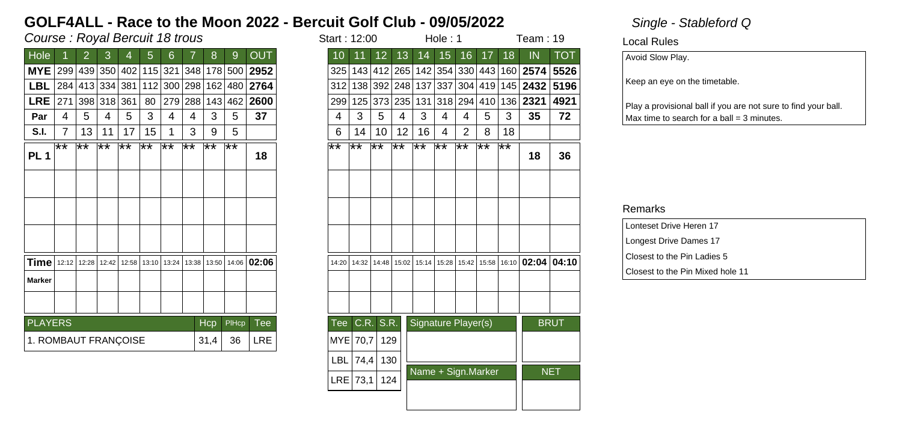## Course : Royal Bercuit 18 trous in the start is not in the start in the start in the start in the start in the start in the start in the start in the start in the start in the start in the start in the start in the start i

| Hole                 |                | 2           | 3               | 4               | 5     | 6   |     | 8           | 9                   | <b>OUT</b>                                   |
|----------------------|----------------|-------------|-----------------|-----------------|-------|-----|-----|-------------|---------------------|----------------------------------------------|
| <b>MYE</b>           |                |             |                 |                 |       |     |     |             |                     | 299 439 350 402 115 321 348 178 500 2952     |
| LBL                  |                |             | 284 413 334 381 |                 |       |     |     |             | 112 300 298 162 480 | 2764                                         |
| <b>LRE</b>           | 271            |             | 398 318 361     |                 | 80    |     |     | 279 288 143 | 462                 | 2600                                         |
| Par                  | 4              | 5           | 4               | 5               | 3     | 4   | 4   | 3           | 5                   | 37                                           |
| S.I.                 | $\overline{7}$ | 13          | 11              | 17              | 15    |     | 3   | 9           | 5                   |                                              |
| <b>PL1</b>           | ౹∗∗            | ⊺**         | ⊺**             | $\overline{**}$ | ⊺**   | ⊺** | ⊺** | ⊺**         | ⊺**                 | 18                                           |
|                      |                |             |                 |                 |       |     |     |             |                     |                                              |
|                      |                |             |                 |                 |       |     |     |             |                     |                                              |
|                      |                |             |                 |                 |       |     |     |             |                     |                                              |
|                      |                |             |                 |                 |       |     |     |             |                     |                                              |
| Time                 |                | 12:12 12:28 | 12:42           | 12:58           | 13:10 |     |     |             |                     | 13:24   13:38   13:50   14:06   <b>02:06</b> |
| <b>Marker</b>        |                |             |                 |                 |       |     |     |             |                     |                                              |
|                      |                |             |                 |                 |       |     |     |             |                     |                                              |
| <b>PLAYERS</b>       |                |             |                 |                 |       |     |     | <b>Hcp</b>  | PIHcp               | Tee                                          |
| 1. ROMBAUT FRANÇOISE |                |             |                 |                 |       |     |     | 31,4        | 36                  | <b>LRE</b>                                   |

| Course : Royal Bercuit 18 trous                                     |                 |    |                 |     |                                 |     |                 |            |                | Start: 12:00          |                    |              | Hole: 1         |             |     |         | Team: 19            |    |     |                                                                          |             |
|---------------------------------------------------------------------|-----------------|----|-----------------|-----|---------------------------------|-----|-----------------|------------|----------------|-----------------------|--------------------|--------------|-----------------|-------------|-----|---------|---------------------|----|-----|--------------------------------------------------------------------------|-------------|
| Hole                                                                |                 |    | 3               | 4   | 5                               | 6   |                 | 8          | $\overline{9}$ | <b>OUT</b>            | 10                 | 11           | 12 <sup>1</sup> | 13          | 14  | 15      | 16                  | 17 | 18  | IN                                                                       | <b>TOT</b>  |
| MYE 299 439 350 402 115 321                                         |                 |    |                 |     |                                 |     |                 |            |                | 348 178 500 2952      |                    |              |                 |             |     |         |                     |    |     | 325   143   412   265   142   354   330   443   160   <b>2574   5526</b> |             |
| <b>LBL</b>                                                          |                 |    |                 |     | 284 413 334 381 112 300 298 162 |     |                 |            |                | 480 2764              | 312                |              |                 | 138 392 248 | 137 |         |                     |    |     | 337   304   419   145   2432   5196                                      |             |
| $LRE$  271                                                          |                 |    | 398 318 361     |     | 80                              |     | 279 288         | 143        |                | 462 2600              | 299                |              |                 | 125 373 235 | 131 | 318 294 |                     |    |     | 410 136 2321                                                             | 4921        |
| Par                                                                 | 4               | 5  | 4               | 5   | 3                               | 4   | 4               | 3          | 5              | 37                    | 4                  | 3            | 5               | 4           | 3   | 4       | 4                   | 5  | 3   | 35                                                                       | 72          |
| <b>S.I.</b>                                                         | $\overline{7}$  | 13 | 11              | 17  | 15                              | 1   | 3               | 9          | 5              |                       | 6                  | 14           | 10              | 12          | 16  | 4       | $\overline{2}$      | 8  | 18  |                                                                          |             |
| PL <sub>1</sub>                                                     | $\overline{**}$ | ¥¥ | $\overline{**}$ | ⊺** | $\overline{**}$                 | ⊺** | $\overline{**}$ | ⊺**        | ⊺**            | 18                    | $\bigstar\bigstar$ | ⊺**          | ⊺**             | ⊺**         | ⊺** | ⊺**     | ∣**                 | ਿ* | ′∗∗ | 18                                                                       | 36          |
|                                                                     |                 |    |                 |     |                                 |     |                 |            |                |                       |                    |              |                 |             |     |         |                     |    |     |                                                                          |             |
|                                                                     |                 |    |                 |     |                                 |     |                 |            |                |                       |                    |              |                 |             |     |         |                     |    |     |                                                                          |             |
|                                                                     |                 |    |                 |     |                                 |     |                 |            |                |                       |                    |              |                 |             |     |         |                     |    |     |                                                                          |             |
| <b>Time</b>   12:12   12:28   12:42   12:58   13:10   13:24   13:38 |                 |    |                 |     |                                 |     |                 |            |                | 13:50   14:06   02:06 | 14:20              | 14:32        | 14:48           |             |     |         |                     |    |     | 15:02   15:14   15:28   15:42   15:58   16:10   02:04   04:10            |             |
| Marker                                                              |                 |    |                 |     |                                 |     |                 |            |                |                       |                    |              |                 |             |     |         |                     |    |     |                                                                          |             |
|                                                                     |                 |    |                 |     |                                 |     |                 |            |                |                       |                    |              |                 |             |     |         |                     |    |     |                                                                          |             |
|                                                                     |                 |    |                 |     |                                 |     |                 |            |                |                       |                    |              |                 |             |     |         |                     |    |     |                                                                          |             |
| <b>PLAYERS</b>                                                      |                 |    |                 |     |                                 |     |                 | <b>Hcp</b> | PIHcp          | <b>Tee</b>            | Tee                |              | C.R. S.R.       |             |     |         | Signature Player(s) |    |     |                                                                          | <b>BRUT</b> |
| 1. ROMBAUT FRANÇOISE                                                |                 |    |                 |     |                                 |     |                 | 31,4       | 36             | LRE                   |                    | MYE 70,7     | 129             |             |     |         |                     |    |     |                                                                          |             |
|                                                                     |                 |    |                 |     |                                 |     |                 |            |                |                       |                    | $LBL$   74,4 | 130             |             |     |         |                     |    |     |                                                                          |             |
|                                                                     |                 |    |                 |     |                                 |     |                 |            |                |                       |                    | LRE 73,1     | 124             |             |     |         | Name + Sign.Marker  |    |     |                                                                          | <b>NET</b>  |
|                                                                     |                 |    |                 |     |                                 |     |                 |            |                |                       |                    |              |                 |             |     |         |                     |    |     |                                                                          |             |
|                                                                     |                 |    |                 |     |                                 |     |                 |            |                |                       |                    |              |                 |             |     |         |                     |    |     |                                                                          |             |

Local Rules

Avoid Slow Play.

Keep an eye on the timetable.

Play a provisional ball if you are not sure to find your ball.  $Max$  time to search for a ball = 3 minutes.

| Lonteset Drive Heren 17          |
|----------------------------------|
| Longest Drive Dames 17           |
| Closest to the Pin Ladies 5      |
| Closest to the Pin Mixed hole 11 |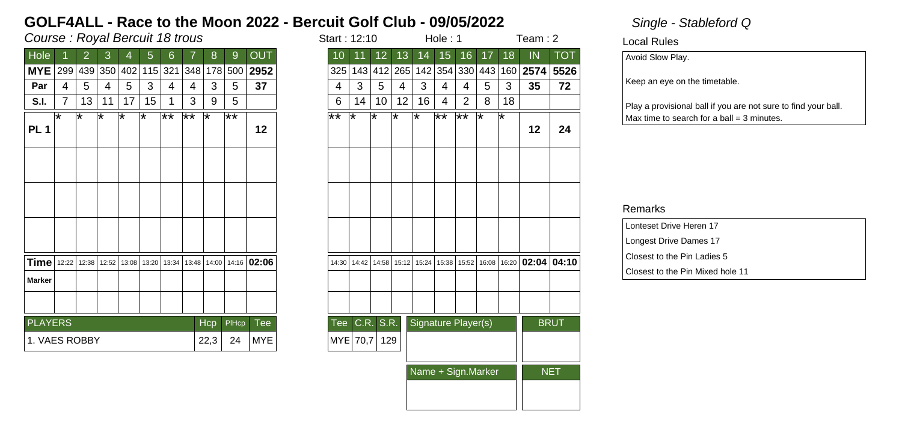## Course : Royal Bercuit 18 trous in the start is started to the start in the start in the start in the start in the start in the start in the start in the start in the start in the start in the start in the start in the sta

| Hole            |     | 2     | 3       | 4   | 5           | 6       |                 | 8    | 9            | <b>OUT</b>        |
|-----------------|-----|-------|---------|-----|-------------|---------|-----------------|------|--------------|-------------------|
| <b>MYE</b>      | 299 |       | 439 350 | 402 |             | 115 321 | 348             | 178  | 500          | 2952              |
| Par             | 4   | 5     | 4       | 5   | 3           | 4       | 4               | 3    | 5            | 37                |
| S.I.            | 7   | 13    | 11      | 17  | 15          | 1       | 3               | 9    | 5            |                   |
| PL <sub>1</sub> | ѭ   | ⊺*    | ⊺*      | ᅚ   | ⊺∗          | $**$    | $\overline{**}$ | ⊺*   | ∦∗           | 12                |
|                 |     |       |         |     |             |         |                 |      |              |                   |
|                 |     |       |         |     |             |         |                 |      |              |                   |
|                 |     |       |         |     |             |         |                 |      |              |                   |
| Time   12:22    |     | 12:38 | 12:52   |     | 13:08 13:20 |         | 13:34 13:48     |      |              | 14:00 14:16 02:06 |
| <b>Marker</b>   |     |       |         |     |             |         |                 |      |              |                   |
|                 |     |       |         |     |             |         |                 |      |              |                   |
| <b>PLAYERS</b>  |     |       |         |     |             |         |                 | Hcp  | <b>PIHcp</b> | Tee               |
| 1. VAES ROBBY   |     |       |         |     |             |         |                 | 22,3 | 24           | <b>MYE</b>        |

|                 | art : 12:10       |                 |       |       | Hole : 1        |                     | leam : 2           |       |       |                  |  |
|-----------------|-------------------|-----------------|-------|-------|-----------------|---------------------|--------------------|-------|-------|------------------|--|
| 10              | 11                | $\overline{12}$ | 13    | 14    | 15              | 16                  | 17                 | 18    | IN    | $\overline{TOT}$ |  |
| 325             | 143               | 412             | 265   | 142   | 354             | 330                 | 443                | 160   | 2574  | 5526             |  |
| 4               | 3                 | 5               | 4     | 3     | 4               | 4                   | 5                  | 3     | 35    | 72               |  |
| 6               | 14                | 10              | 12    | 16    | 4               | $\overline{2}$      | 8                  | 18    |       |                  |  |
| $\overline{**}$ | $\overline{\ast}$ | ∗               | ∗     | ∗     | $\overline{**}$ | $\overline{**}$     | $\overline{\ast}$  | ∗     | 12    | 24               |  |
|                 |                   |                 |       |       |                 |                     |                    |       |       |                  |  |
|                 |                   |                 |       |       |                 |                     |                    |       |       |                  |  |
|                 |                   |                 |       |       |                 |                     |                    |       |       |                  |  |
| 14:30           | 14:42             | 14:58           | 15:12 | 15:24 | 15:38           | 15:52               | 16:08              | 16:20 | 02:04 | 04:10            |  |
|                 |                   |                 |       |       |                 |                     |                    |       |       |                  |  |
|                 |                   |                 |       |       |                 |                     |                    |       |       |                  |  |
| Tee             | C.R.              | S.R.            |       |       |                 | Signature Player(s) |                    |       |       | <b>BRUT</b>      |  |
| <b>MYE</b>      | 70,7              | 129             |       |       |                 |                     |                    |       |       |                  |  |
|                 |                   |                 |       |       |                 |                     | Name + Sign.Marker |       |       | <b>NET</b>       |  |
|                 |                   |                 |       |       |                 |                     |                    |       |       |                  |  |
|                 |                   |                 |       |       |                 |                     |                    |       |       |                  |  |

### Local Rules

Avoid Slow Play.

Keep an eye on the timetable.

Play a provisional ball if you are not sure to find your ball.  $Max$  time to search for a ball = 3 minutes.

| Lonteset Drive Heren 17          |
|----------------------------------|
| Longest Drive Dames 17           |
| Closest to the Pin Ladies 5      |
| Closest to the Pin Mixed hole 11 |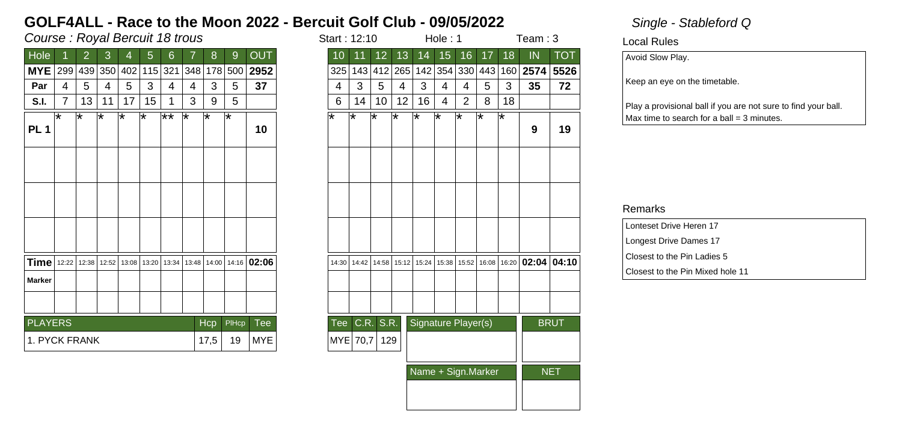## Course : Royal Bercuit 18 trous in the start is started to the start in the start in the start in the start in the start in the start in the start in the start in the start in the start in the start in the start in the sta

| Hole                |     | 2     | 3       | 4   | 5           | 6       |       | 8     | 9     | <b>OUT</b>    |
|---------------------|-----|-------|---------|-----|-------------|---------|-------|-------|-------|---------------|
| <b>MYE</b>          | 299 |       | 439 350 | 402 |             | 115 321 | 348   | 178   | 500   | 2952          |
| Par                 | 4   | 5     | 4       | 5   | 3           | 4       | 4     | 3     | 5     | 37            |
| S.I.                | 7   | 13    | 11      | 17  | 15          | 1       | 3     | 9     | 5     |               |
| PL <sub>1</sub>     | ѭ   | ⊺∗    | ⊺*      | ⊺*  | ⊺∗          | $**$    | ⊺∗    | ౹∗    | ౹∗    | 10            |
|                     |     |       |         |     |             |         |       |       |       |               |
|                     |     |       |         |     |             |         |       |       |       |               |
|                     |     |       |         |     |             |         |       |       |       |               |
| <b>Time</b>   12:22 |     | 12:38 | 12:52   |     | 13:08 13:20 | 13:34   | 13:48 | 14:00 |       | $14:16$ 02:06 |
| <b>Marker</b>       |     |       |         |     |             |         |       |       |       |               |
|                     |     |       |         |     |             |         |       |       |       |               |
| <b>PLAYERS</b>      |     |       |         |     |             |         |       | Hcp   | PIHcp | Tee           |
| 1. PYCK FRANK       |     |       |         |     |             |         |       | 17,5  | 19    | <b>MYE</b>    |

| tart : 12:10 |         |                 |       |                     | Hole : 1 |                   | Team : 3          |                   |       |             |
|--------------|---------|-----------------|-------|---------------------|----------|-------------------|-------------------|-------------------|-------|-------------|
| 10           | 11      | 12 <sub>2</sub> | 13    | 14                  | 15       | 16                | 17                | 18                | IN    | <b>TOT</b>  |
| 325          | 143     | 412             | 265   | 142                 | 354      | 330               | 443               | 160               | 2574  | 5526        |
| 4            | 3       | 5               | 4     | 3                   | 4        | 4                 | 5                 | 3                 | 35    | 72          |
| 6            | 14      | 10              | 12    | 16                  | 4        | $\overline{2}$    | 8                 | 18                |       |             |
| ∗            | $\star$ | ∗               | ∗     | $\star$             | $\ast$   | $\overline{\ast}$ | $\overline{\ast}$ | $\overline{\ast}$ | 9     | 19          |
|              |         |                 |       |                     |          |                   |                   |                   |       |             |
|              |         |                 |       |                     |          |                   |                   |                   |       |             |
|              |         |                 |       |                     |          |                   |                   |                   |       |             |
| 14:30        | 14:42   | 14:58           | 15:12 | 15:24               | 15:38    | 15:52             | 16:08             | 16:20             | 02:04 | 04:10       |
|              |         |                 |       |                     |          |                   |                   |                   |       |             |
|              |         |                 |       |                     |          |                   |                   |                   |       |             |
| <b>Tee</b>   | C.R.    | S.R.            |       | Signature Player(s) |          |                   |                   |                   |       | <b>BRUT</b> |
| <b>MYE</b>   | 70,7    | 129             |       |                     |          |                   |                   |                   |       |             |
|              |         |                 |       | Name + Sign.Marker  |          | NET               |                   |                   |       |             |
|              |         |                 |       |                     |          |                   |                   |                   |       |             |
|              |         |                 |       |                     |          |                   |                   |                   |       |             |

### Local Rules

Avoid Slow Play.

Keep an eye on the timetable.

Play a provisional ball if you are not sure to find your ball.  $Max$  time to search for a ball = 3 minutes.

| Lonteset Drive Heren 17          |
|----------------------------------|
| Longest Drive Dames 17           |
| Closest to the Pin Ladies 5      |
| Closest to the Pin Mixed hole 11 |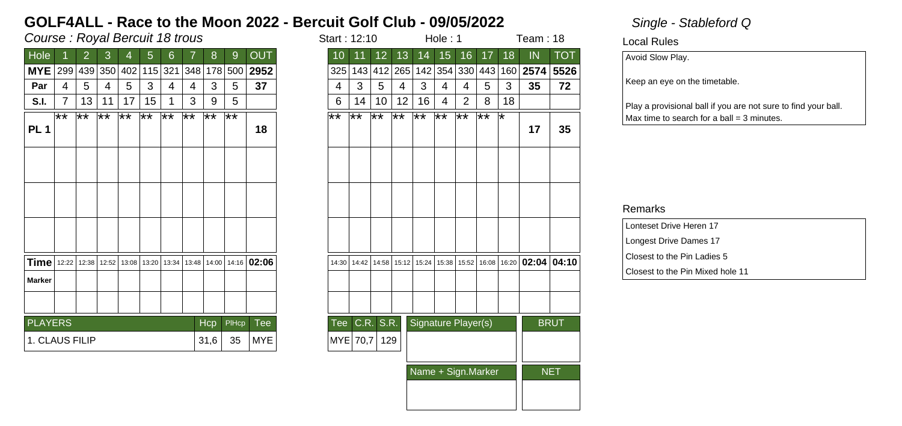## Course : Royal Bercuit 18 trous in the start is started to the start in the start in the start in the start in the start in the start in the start in the start in the start in the start in the start in the start in the sta

| <b>OUT</b><br>13<br>16<br>17<br>Hole<br>3<br>6<br>12 <sub>2</sub><br>15 <sup>15</sup><br>2<br>5<br>8<br>9<br>10<br>14<br>11<br>4<br><b>MYE</b><br>2952<br>299<br>439 350<br>402<br>115 321<br> 348 <br>325<br>412 265 142<br>178<br>500<br>143<br>37<br>5<br>5<br>3<br>3<br>3<br>5<br>3<br>5<br>5<br>Par<br>4<br>4<br>4<br>4<br>4<br>4<br>4<br>4<br>13<br>17<br>15<br>3<br>5<br>6<br>12<br>16<br>2<br>8<br>7<br>9<br>10<br>11<br>1<br>14<br>4<br>S.I.<br>$\overline{**}$<br>$**$<br>$**$<br>$\overline{**}$<br>$**$<br>1**<br>$\overline{**}$<br>$\overline{**}$<br>∦∗<br>౹⋇⋇<br>$***$<br>$\overline{**}$<br>⊺**<br>⊺**<br>౹∗∗<br>∦*<br>$\star\star$<br>PL <sub>1</sub><br>18<br>$Time$   12:22<br>13:08   13:20   13:34   13:48   14:00   14:16   02:06<br>12:38<br>12:52<br>14:58   15:12   15:24   15:38   15:52  <br>14:42<br>14:30<br><b>Marker</b><br>C.R. S.R.<br>Signature Player(s)<br><b>PLAYERS</b><br>Tee<br><b>Hcp</b><br>PIHcp<br>Tee<br>1. CLAUS FILIP<br><b>MYE</b><br>31,6<br>35<br>MYE 70,7 <br>129 |
|-----------------------------------------------------------------------------------------------------------------------------------------------------------------------------------------------------------------------------------------------------------------------------------------------------------------------------------------------------------------------------------------------------------------------------------------------------------------------------------------------------------------------------------------------------------------------------------------------------------------------------------------------------------------------------------------------------------------------------------------------------------------------------------------------------------------------------------------------------------------------------------------------------------------------------------------------------------------------------------------------------------------------|
| 354 330 443<br>160 2574                                                                                                                                                                                                                                                                                                                                                                                                                                                                                                                                                                                                                                                                                                                                                                                                                                                                                                                                                                                               |
| 3<br>⊺*<br>16:08                                                                                                                                                                                                                                                                                                                                                                                                                                                                                                                                                                                                                                                                                                                                                                                                                                                                                                                                                                                                      |
| 18                                                                                                                                                                                                                                                                                                                                                                                                                                                                                                                                                                                                                                                                                                                                                                                                                                                                                                                                                                                                                    |
|                                                                                                                                                                                                                                                                                                                                                                                                                                                                                                                                                                                                                                                                                                                                                                                                                                                                                                                                                                                                                       |
|                                                                                                                                                                                                                                                                                                                                                                                                                                                                                                                                                                                                                                                                                                                                                                                                                                                                                                                                                                                                                       |
|                                                                                                                                                                                                                                                                                                                                                                                                                                                                                                                                                                                                                                                                                                                                                                                                                                                                                                                                                                                                                       |
| 16:20 02:04 04:10                                                                                                                                                                                                                                                                                                                                                                                                                                                                                                                                                                                                                                                                                                                                                                                                                                                                                                                                                                                                     |
|                                                                                                                                                                                                                                                                                                                                                                                                                                                                                                                                                                                                                                                                                                                                                                                                                                                                                                                                                                                                                       |
|                                                                                                                                                                                                                                                                                                                                                                                                                                                                                                                                                                                                                                                                                                                                                                                                                                                                                                                                                                                                                       |
|                                                                                                                                                                                                                                                                                                                                                                                                                                                                                                                                                                                                                                                                                                                                                                                                                                                                                                                                                                                                                       |
|                                                                                                                                                                                                                                                                                                                                                                                                                                                                                                                                                                                                                                                                                                                                                                                                                                                                                                                                                                                                                       |
|                                                                                                                                                                                                                                                                                                                                                                                                                                                                                                                                                                                                                                                                                                                                                                                                                                                                                                                                                                                                                       |
|                                                                                                                                                                                                                                                                                                                                                                                                                                                                                                                                                                                                                                                                                                                                                                                                                                                                                                                                                                                                                       |

| tart : 12:10       |              |              |                             |                     | Hole : 1     |              | Team : 18    |                   |       |             |
|--------------------|--------------|--------------|-----------------------------|---------------------|--------------|--------------|--------------|-------------------|-------|-------------|
| $\overline{10}$    | 11           | 12           | 13                          | 14                  | 15           | 16           | 17           | 18                | IN    | <b>TOT</b>  |
| 325                | 143          | 412          | 265                         | 142                 | 354          | 330          | 443          | 160               | 2574  | 5526        |
| 4                  | 3            | 5            | 4                           | 3                   | 4            | 4            | 5            | 3                 | 35    | 72          |
| 6                  | 14           | 10           | 12                          | 16                  | 4            | 2            | 8            | 18                |       |             |
| $\bigstar\bigstar$ | $\star\star$ | $\star\star$ | $\overline{\bf \ast \star}$ | $\star\star$        | $\star\star$ | $\star\star$ | $\star\star$ | $\overline{\ast}$ | 17    | 35          |
|                    |              |              |                             |                     |              |              |              |                   |       |             |
|                    |              |              |                             |                     |              |              |              |                   |       |             |
|                    |              |              |                             |                     |              |              |              |                   |       |             |
| 14:30              | 14:42        | 14:58        | 15:12                       | 15:24               | 15:38        | 15:52        | 16:08        | 16:20             | 02:04 | 04:10       |
|                    |              |              |                             |                     |              |              |              |                   |       |             |
|                    |              |              |                             |                     |              |              |              |                   |       |             |
| Tee                | C.R.         | S.R.         |                             | Signature Player(s) |              |              |              |                   |       | <b>BRUT</b> |
| MYE                | 70,7         | 129          |                             |                     |              |              |              |                   |       |             |
|                    |              |              |                             | Name + Sign.Marker  |              | <b>NET</b>   |              |                   |       |             |
|                    |              |              |                             |                     |              |              |              |                   |       |             |
|                    |              |              |                             |                     |              |              |              |                   |       |             |

Local Rules

Avoid Slow Play.

Keep an eye on the timetable.

Play a provisional ball if you are not sure to find your ball.  $Max$  time to search for a ball = 3 minutes.

| Lonteset Drive Heren 17          |  |
|----------------------------------|--|
| Longest Drive Dames 17           |  |
| Closest to the Pin Ladies 5      |  |
| Closest to the Pin Mixed hole 11 |  |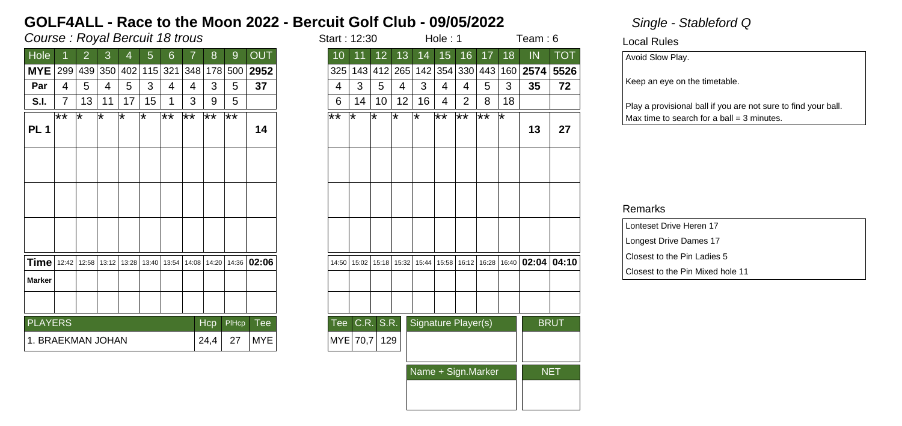## Course : Royal Bercuit 18 trous in the start is started to the start in the start in the start in the start in the start in the start in the start in the start in the start in the start in the start in the start in the sta

| Hole              |      | 2  | 3           | 4   | 5                                     | 6            |                 | 8          | 9     | <b>OUT</b>  |
|-------------------|------|----|-------------|-----|---------------------------------------|--------------|-----------------|------------|-------|-------------|
| <b>MYE</b>        | 299  |    | 439 350     | 402 |                                       | 115 321      | 348             | 178        | 500   | 2952        |
| Par               | 4    | 5  | 4           | 5   | 3                                     | 4            | 4               | 3          | 5     | 37          |
| S.I.              | 7    | 13 | 11          | 17  | 15                                    | 1            | 3               | 9          | 5     |             |
| PL <sub>1</sub>   | $**$ | ⊺∗ | ⊺*          | ⊺*  | ⊺∗                                    | $\star\star$ | $\overline{**}$ | ∦∗         | ౹⋇⋇   | 14          |
|                   |      |    |             |     |                                       |              |                 |            |       |             |
|                   |      |    |             |     |                                       |              |                 |            |       |             |
|                   |      |    |             |     |                                       |              |                 |            |       |             |
|                   |      |    |             |     |                                       |              |                 |            |       |             |
|                   |      |    |             |     |                                       |              |                 |            |       |             |
|                   |      |    |             |     |                                       |              |                 |            |       |             |
|                   |      |    |             |     |                                       |              |                 |            |       |             |
| $Time$   12:42    |      |    | 12:58 13:12 |     | 13:28   13:40   13:54   14:08   14:20 |              |                 |            |       | 14:36 02:06 |
| <b>Marker</b>     |      |    |             |     |                                       |              |                 |            |       |             |
|                   |      |    |             |     |                                       |              |                 |            |       |             |
|                   |      |    |             |     |                                       |              |                 |            |       |             |
| <b>PLAYERS</b>    |      |    |             |     |                                       |              |                 | <b>Hcp</b> | PIHcp | Tee         |
| 1. BRAEKMAN JOHAN |      |    |             |     |                                       |              |                 | 24,4       | 27    | <b>MYE</b>  |
|                   |      |    |             |     |                                       |              |                 |            |       |             |

| tart : 12:30 |         |                       |        |                     | Hole: 1            |                 | Team : 6        |       |       |             |
|--------------|---------|-----------------------|--------|---------------------|--------------------|-----------------|-----------------|-------|-------|-------------|
| 10           | 11      | $\overline{12}$<br>13 |        | 14                  | 15                 | 16              | $\overline{17}$ | 18    | IN    | <b>TOT</b>  |
| 325          | 143     | 412                   | 265    |                     | 142 354            | 330             | 443             | 160   | 2574  | 5526        |
| 4            | 3       | 5                     | 4      | 3                   | 4                  | 4               | 5               | 3     | 35    | 72          |
| 6            | 14      | 10                    | 12     | 16                  | 4                  | $\overline{2}$  | 8               | 18    |       |             |
| $\star\star$ | $\star$ | ∗                     | $\ast$ | $\ast$              | $\bigstar\bigstar$ | $\overline{**}$ | $\overline{**}$ | ∗     | 13    | 27          |
|              |         |                       |        |                     |                    |                 |                 |       |       |             |
|              |         |                       |        |                     |                    |                 |                 |       |       |             |
|              |         |                       |        |                     |                    |                 |                 |       |       |             |
| 14:50        | 15:02   | 15:18                 | 15:32  | 15:44               | 15:58              | 16:12           | 16:28           | 16:40 | 02:04 | 04:10       |
|              |         |                       |        |                     |                    |                 |                 |       |       |             |
|              |         |                       |        |                     |                    |                 |                 |       |       |             |
| Tee          | C.R.    | S.R.                  |        | Signature Player(s) |                    |                 |                 |       |       | <b>BRUT</b> |
| MYE          | 70,7    | 129                   |        |                     |                    |                 |                 |       |       |             |
|              |         |                       |        | Name + Sign.Marker  |                    |                 | <b>NET</b>      |       |       |             |
|              |         |                       |        |                     |                    |                 |                 |       |       |             |

### Local Rules

Avoid Slow Play.

Keep an eye on the timetable.

Play a provisional ball if you are not sure to find your ball.  $Max$  time to search for a ball = 3 minutes.

| Lonteset Drive Heren 17          |
|----------------------------------|
| Longest Drive Dames 17           |
| Closest to the Pin Ladies 5      |
| Closest to the Pin Mixed hole 11 |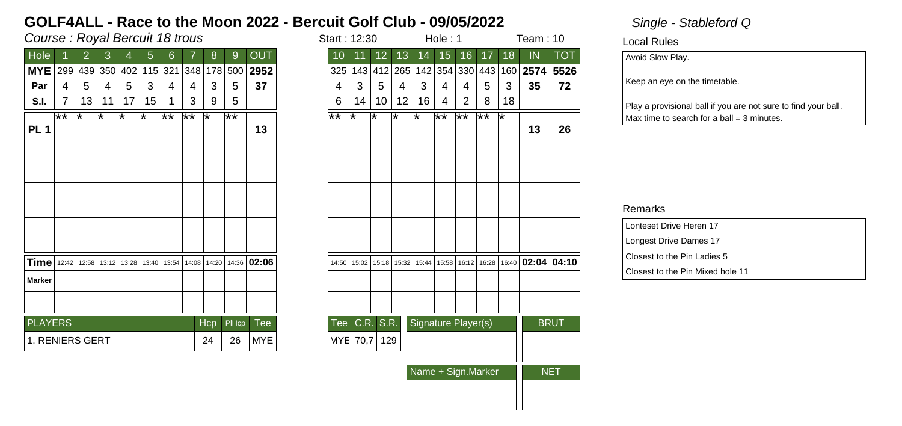## Course : Royal Bercuit 18 trous in the start is started to the start in the start in the start is not the start in the start in the start in the start in the start in the start in the start in the start in the start in the

| Hole            |       | 2  | 3       | 4   | 5  | 6       |                 | 8          | 9     | OUT                                                                           |
|-----------------|-------|----|---------|-----|----|---------|-----------------|------------|-------|-------------------------------------------------------------------------------|
| <b>MYE</b>      | 299   |    | 439 350 | 402 |    | 115 321 | 348             | 178        | 500   | 2952                                                                          |
| Par             | 4     | 5  | 4       | 5   | 3  | 4       | 4               | 3          | 5     | 37                                                                            |
| S.I.            | 7     | 13 | 11      | 17  | 15 |         | 3               | 9          | 5     |                                                                               |
|                 | $***$ | ᅚ  | ѭ       | ᅚ   | ⊺∗ | $**$    | $\overline{**}$ | ⊺∗         | ౹∗∗   |                                                                               |
| PL <sub>1</sub> |       |    |         |     |    |         |                 |            |       | 13                                                                            |
|                 |       |    |         |     |    |         |                 |            |       |                                                                               |
|                 |       |    |         |     |    |         |                 |            |       |                                                                               |
|                 |       |    |         |     |    |         |                 |            |       |                                                                               |
|                 |       |    |         |     |    |         |                 |            |       |                                                                               |
|                 |       |    |         |     |    |         |                 |            |       |                                                                               |
|                 |       |    |         |     |    |         |                 |            |       |                                                                               |
|                 |       |    |         |     |    |         |                 |            |       |                                                                               |
| <b>Time</b>     |       |    |         |     |    |         |                 |            |       | 12:42   12:58   13:12   13:28   13:40   13:54   14:08   14:20   14:36   02:06 |
| <b>Marker</b>   |       |    |         |     |    |         |                 |            |       |                                                                               |
|                 |       |    |         |     |    |         |                 |            |       |                                                                               |
|                 |       |    |         |     |    |         |                 |            |       |                                                                               |
| <b>PLAYERS</b>  |       |    |         |     |    |         |                 | <b>Hcp</b> | PIHcp | Tee                                                                           |
| 1. RENIERS GERT |       |    |         |     |    |         |                 | 24         | 26    | <b>MYE</b>                                                                    |
|                 |       |    |         |     |    |         |                 |            |       |                                                                               |

| tart : 12:30       |       |                 |       |                     | Hole: 1            |                    | Team : 10       |                 |       |             |
|--------------------|-------|-----------------|-------|---------------------|--------------------|--------------------|-----------------|-----------------|-------|-------------|
| 10                 | 11    | 12 <sub>2</sub> | 13    | 14                  | 15                 | 16                 | 17              | $\overline{18}$ | IN    | <b>TOT</b>  |
| 325                | 143   | 412             | 265   | 142                 | 354                | 330                | 443             | 160             | 2574  | 5526        |
| 4                  | 3     | 5               | 4     | 3                   | 4                  | 4                  | 5               | 3               | 35    | 72          |
| 6                  | 14    | 10              | 12    | 16                  | 4                  | 2                  | 8               | 18              |       |             |
| $\bigstar\bigstar$ | ∗     | ∗               | ∗     | ∗                   | $\bigstar\bigstar$ | $\bigstar\bigstar$ | $\overline{**}$ | ∗               | 13    | 26          |
|                    |       |                 |       |                     |                    |                    |                 |                 |       |             |
|                    |       |                 |       |                     |                    |                    |                 |                 |       |             |
|                    |       |                 |       |                     |                    |                    |                 |                 |       |             |
| 14:50              | 15:02 | 15:18           | 15:32 | 15:44               | 15:58              | 16:12<br>16:28     |                 | 16:40           | 02:04 | 04:10       |
|                    |       |                 |       |                     |                    |                    |                 |                 |       |             |
|                    |       |                 |       |                     |                    |                    |                 |                 |       |             |
| Tee                | C.R.  | S.R.            |       | Signature Player(s) |                    |                    |                 |                 |       | <b>BRUT</b> |
| <b>MYE</b>         | 70,7  | 129             |       |                     |                    |                    |                 |                 |       |             |
|                    |       |                 |       | Name + Sign.Marker  |                    | <b>NET</b>         |                 |                 |       |             |
|                    |       |                 |       |                     |                    |                    |                 |                 |       |             |

Local Rules

Avoid Slow Play.

Keep an eye on the timetable.

Play a provisional ball if you are not sure to find your ball.  $Max$  time to search for a ball = 3 minutes.

| Lonteset Drive Heren 17          |
|----------------------------------|
| Longest Drive Dames 17           |
| Closest to the Pin Ladies 5      |
| Closest to the Pin Mixed hole 11 |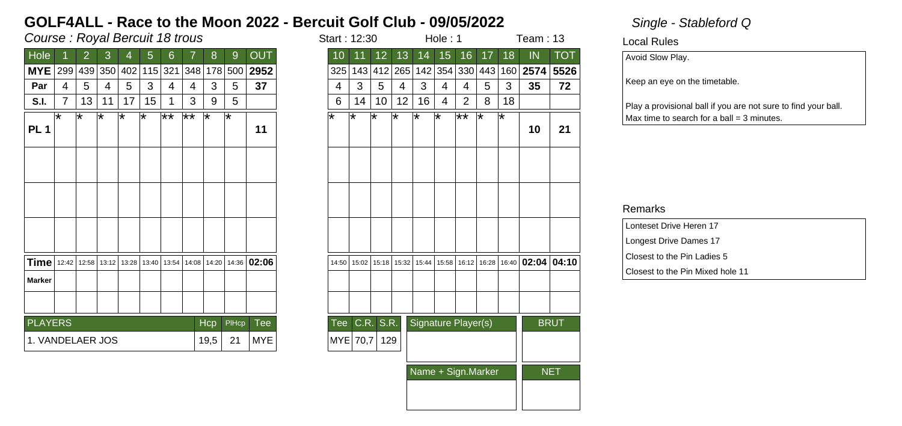## Course : Royal Bercuit 18 trous in the start is started to the start in the start in the start in the start in the start in the start in the start in the start in the start in the start in the start in the start in the sta

| Hole            |       | 2  | 3       | 4   | 5  | 6       |                                               | 8          | 9     | OUT                 |
|-----------------|-------|----|---------|-----|----|---------|-----------------------------------------------|------------|-------|---------------------|
| <b>MYE</b>      | 299   |    | 439 350 | 402 |    | 115 321 | 348                                           | 178        | 500   | 2952                |
| Par             | 4     | 5  | 4       | 5   | 3  | 4       | 4                                             | 3          | 5     | 37                  |
| S.I.            | 7     | 13 | 11      | 17  | 15 |         | 3                                             | 9          | 5     |                     |
| PL <sub>1</sub> | ℞     | ѭ  | ∗       | ᅚ   | ⊺∗ | $**$    | $\overline{**}$                               | ⊺∗         | ⊺*    | 11                  |
|                 |       |    |         |     |    |         |                                               |            |       |                     |
|                 |       |    |         |     |    |         |                                               |            |       |                     |
|                 |       |    |         |     |    |         |                                               |            |       |                     |
| <b>Time</b>     | 12:42 |    |         |     |    |         | 12:58   13:12   13:28   13:40   13:54   14:08 |            |       | $14:20$ 14:36 02:06 |
| <b>Marker</b>   |       |    |         |     |    |         |                                               |            |       |                     |
|                 |       |    |         |     |    |         |                                               |            |       |                     |
|                 |       |    |         |     |    |         |                                               | <b>Hcp</b> | PIHcp | Tee                 |
| <b>PLAYERS</b>  |       |    |         |     |    |         |                                               |            |       |                     |

| tart : 12:30    |       |                 |       |                     | Hole : 1 |                 | Team : 13         |                |       |                         |  |
|-----------------|-------|-----------------|-------|---------------------|----------|-----------------|-------------------|----------------|-------|-------------------------|--|
| $\overline{10}$ | 11    | 12 <sub>2</sub> | 13    | 14                  | 15       | 16              | 17                | 18             | IN    | $\overline{\text{TOT}}$ |  |
| 325             | 143   | 412             | 265   |                     | 142 354  | 330             | 443               | 160            | 2574  | 5526                    |  |
| 4               | 3     | 5               | 4     | 3                   | 4        | 4               | 5                 | 3              | 35    | 72                      |  |
| 6               | 14    | 10              | 12    | 16                  | 4        | 2               | 8                 | 18             |       |                         |  |
| ∗               | ∗     | ∗               | ∗     | ₮                   | $\ast$   | $\overline{**}$ | $\overline{\ast}$ | $\,{}^{\star}$ | 10    | 21                      |  |
|                 |       |                 |       |                     |          |                 |                   |                |       |                         |  |
|                 |       |                 |       |                     |          |                 |                   |                |       |                         |  |
|                 |       |                 |       |                     |          |                 |                   |                |       |                         |  |
| 14:50           | 15:02 | 15:18           | 15:32 | 15:44               | 15:58    | 16:12           | 16:28             | 16:40          | 02:04 | 04:10                   |  |
|                 |       |                 |       |                     |          |                 |                   |                |       |                         |  |
|                 |       |                 |       |                     |          |                 |                   |                |       |                         |  |
| Tee             | C.R.  | S.R.            |       | Signature Player(s) |          |                 |                   |                |       | <b>BRUT</b>             |  |
| <b>MYE</b>      | 70,7  | 129             |       |                     |          |                 |                   |                |       |                         |  |
|                 |       |                 |       | Name + Sign.Marker  |          |                 | NET               |                |       |                         |  |
|                 |       |                 |       |                     |          |                 |                   |                |       |                         |  |

Local Rules

Avoid Slow Play.

Keep an eye on the timetable.

Play a provisional ball if you are not sure to find your ball.  $Max$  time to search for a ball = 3 minutes.

| Lonteset Drive Heren 17          |
|----------------------------------|
| Longest Drive Dames 17           |
| Closest to the Pin Ladies 5      |
| Closest to the Pin Mixed hole 11 |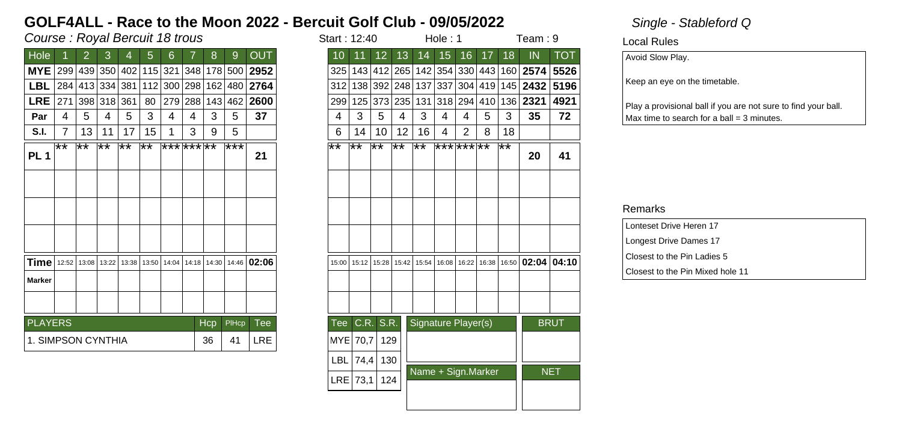## Course : Royal Bercuit 18 trous in the start is not start in the start in the start in the start in the start in the start in the start in the start in the start in the start in the start in the start in the start in the s

| Hole               |     | 2.          | 3               | 4     | 5   | 6                           |     | 8             | 9            | <b>OUT</b>   |
|--------------------|-----|-------------|-----------------|-------|-----|-----------------------------|-----|---------------|--------------|--------------|
| <b>MYE</b>         |     |             |                 |       |     | 299 439 350 402 115 321 348 |     |               |              | 178 500 2952 |
| LBL                |     |             | 284 413 334 381 |       |     | 112 300 298                 |     |               |              | 162 480 2764 |
| <b>LRE</b>         | 271 |             | 398 318 361     |       | 80  | 279                         | 288 |               | 143 462      | 2600         |
| Par                | 4   | 5           | 4               | 5     | 3   | 4                           | 4   | 3             | 5            | 37           |
| S.I.               | 7   | 13          | 11              | 17    | 15  |                             | 3   | 9             | 5            |              |
| <b>PL1</b>         | ౹∗∗ | ౹⋇⋇         | ҟ¥              | ౹⋇⋇   | ⊺** | ********                    |     |               | ***          | 21           |
|                    |     |             |                 |       |     |                             |     |               |              |              |
|                    |     |             |                 |       |     |                             |     |               |              |              |
|                    |     |             |                 |       |     |                             |     |               |              |              |
|                    |     |             |                 |       |     |                             |     |               |              |              |
|                    |     |             |                 |       |     |                             |     |               |              |              |
| Time               |     | 12:52 13:08 | 13:22           | 13:38 |     | 13:50 14:04                 |     | 14:18   14:30 | 14:46        | 02:06        |
| <b>Marker</b>      |     |             |                 |       |     |                             |     |               |              |              |
|                    |     |             |                 |       |     |                             |     |               |              |              |
|                    |     |             |                 |       |     |                             |     |               |              |              |
| <b>PLAYERS</b>     |     |             |                 |       |     |                             |     | Hcp           | <b>PIHcp</b> | Tee          |
| 1. SIMPSON CYNTHIA |     |             |                 |       |     |                             |     | 36            | 41           | LRE          |

| Course : Royal Bercuit 18 trous<br>9                   |                 |    |                |                            |     |     |                     |     |       |                                                              |                 | Start: 12:40 |                 |                            |     | Hole: 1                       |    |       | Team: 9         |                                           |             |  |
|--------------------------------------------------------|-----------------|----|----------------|----------------------------|-----|-----|---------------------|-----|-------|--------------------------------------------------------------|-----------------|--------------|-----------------|----------------------------|-----|-------------------------------|----|-------|-----------------|-------------------------------------------|-------------|--|
| <b>Hole</b><br>8<br>$\overline{2}$<br>3<br>5<br>6<br>4 |                 |    |                |                            |     |     |                     |     |       | <b>OUT</b>                                                   | 10              | 11           | 12 <sup>7</sup> | 13                         | 14  | 15                            | 16 | 17    | 18              | IN                                        | <b>TOT</b>  |  |
| MYE 299 439 350 402 115 321                            |                 |    |                |                            |     |     | 348                 |     |       | 178 500 2952                                                 | 325             |              |                 |                            |     |                               |    |       |                 | 143 412 265 142 354 330 443 160 2574 5526 |             |  |
| LBL $ 284 413 334 381 112 300 298 $                    |                 |    |                |                            |     |     |                     |     |       | 162 480 2764                                                 | 312             |              | 138 392 248 137 |                            |     | 337                           |    |       |                 | 304 419 145 2432 5196                     |             |  |
| LRE                                                    | 271             |    | 398 318 361    |                            | 80  | 279 | 288                 |     |       | $143 462 $ 2600                                              | 299             | 125          |                 | 373 235                    | 131 | 318 294                       |    |       |                 | 410 136 2321                              | 4921        |  |
| Par                                                    | 4               | 5  | $\overline{4}$ | 5                          | 3   | 4   | 4                   | 3   | 5     | 37                                                           | 4               | 3            | 5               | 4                          | 3   | 4                             | 4  | 5     | 3               | 35                                        | 72          |  |
| S.I.                                                   | $\overline{7}$  | 13 | 11             | 17                         | 15  | 1   | 3                   | 9   | 5     |                                                              | 6               | 14           | 10              | 12                         | 16  | 4                             | 2  | 8     | 18              |                                           |             |  |
| PL <sub>1</sub>                                        | $\overline{**}$ | ҟ¥ | ౹⋇⋇            | $\overline{1 \star \star}$ | ౹⋇⋇ |     | $ *** *** *** *** $ |     | ***   | 21                                                           | $\overline{**}$ | ⊺**          | $\overline{**}$ | $\overline{1 \star \star}$ | ⊺** | *** *** **                    |    |       | $\overline{**}$ | 20                                        | 41          |  |
|                                                        |                 |    |                |                            |     |     |                     |     |       |                                                              |                 |              |                 |                            |     |                               |    |       |                 |                                           |             |  |
|                                                        |                 |    |                |                            |     |     |                     |     |       |                                                              |                 |              |                 |                            |     |                               |    |       |                 |                                           |             |  |
|                                                        |                 |    |                |                            |     |     |                     |     |       |                                                              |                 |              |                 |                            |     |                               |    |       |                 |                                           |             |  |
| <b>Time</b>   12:52   13:08   13:22                    |                 |    |                |                            |     |     |                     |     |       | 13:38   13:50   14:04   14:18   14:30   14:46   <b>02:06</b> | 15:00           | 15:12        | 15:28           |                            |     | 15:42   15:54   16:08   16:22 |    | 16:38 |                 | 16:50 02:04 04:10                         |             |  |
| Marker                                                 |                 |    |                |                            |     |     |                     |     |       |                                                              |                 |              |                 |                            |     |                               |    |       |                 |                                           |             |  |
|                                                        |                 |    |                |                            |     |     |                     |     |       |                                                              |                 |              |                 |                            |     |                               |    |       |                 |                                           |             |  |
| <b>PLAYERS</b>                                         |                 |    |                |                            |     |     |                     | Hcp | PIHcp | <b>Tee</b>                                                   | Tee             |              | C.R. S.R.       |                            |     | Signature Player(s)           |    |       |                 |                                           | <b>BRUT</b> |  |
| 1. SIMPSON CYNTHIA                                     |                 |    |                |                            |     |     |                     | 36  | 41    | LRE                                                          |                 | MYE 70,7     | 129             |                            |     |                               |    |       |                 |                                           |             |  |
|                                                        |                 |    |                |                            |     |     |                     |     |       |                                                              |                 |              | LBL 74,4 130    |                            |     |                               |    |       |                 |                                           |             |  |
|                                                        |                 |    |                |                            |     |     |                     |     |       |                                                              |                 |              | LRE 73,1 124    |                            |     | Name + Sign.Marker            |    |       |                 |                                           | <b>NET</b>  |  |
|                                                        |                 |    |                |                            |     |     |                     |     |       |                                                              |                 |              |                 |                            |     |                               |    |       |                 |                                           |             |  |
|                                                        |                 |    |                |                            |     |     |                     |     |       |                                                              |                 |              |                 |                            |     |                               |    |       |                 |                                           |             |  |

Local Rules

Avoid Slow Play.

Keep an eye on the timetable.

Play a provisional ball if you are not sure to find your ball.  $Max$  time to search for a ball = 3 minutes.

| Lonteset Drive Heren 17          |
|----------------------------------|
| Longest Drive Dames 17           |
| Closest to the Pin Ladies 5      |
| Closest to the Pin Mixed hole 11 |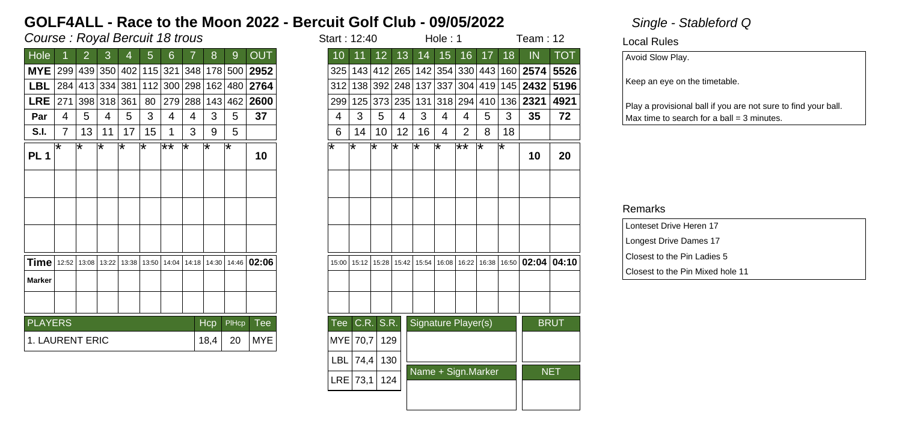## Course : Royal Bercuit 18 trous in the start is not in the start in the start in the start in the start in the start in the start in the start in the start in the start in the start in the start in the start in the start i

| Hole                   |     | $\overline{2}$ | 3               | 4     | 5  | 6                           |     | 8           | 9            | <b>OUT</b>   |
|------------------------|-----|----------------|-----------------|-------|----|-----------------------------|-----|-------------|--------------|--------------|
| <b>MYE</b>             |     |                |                 |       |    | 299 439 350 402 115 321 348 |     |             |              | 178 500 2952 |
| LBL                    |     |                | 284 413 334 381 |       |    | 112 300 298                 |     |             |              | 162 480 2764 |
| <b>LRE</b>             | 271 |                | 398 318 361     |       | 80 | 279                         | 288 |             | 143 462      | 2600         |
| Par                    | 4   | 5              | 4               | 5     | 3  | 4                           | 4   | 3           | 5            | 37           |
| S.I.                   | 7   | 13             | 11              | 17    | 15 |                             | 3   | 9           | 5            |              |
| <b>PL1</b>             | ⊺∗  | l*             | ∗               | ⊺∗    | ⊺∗ | ౹⋇⋇                         | ⊺∗  | ₩           | l*           | 10           |
|                        |     |                |                 |       |    |                             |     |             |              |              |
|                        |     |                |                 |       |    |                             |     |             |              |              |
|                        |     |                |                 |       |    |                             |     |             |              |              |
|                        |     |                |                 |       |    |                             |     |             |              |              |
|                        |     |                |                 |       |    |                             |     |             |              |              |
|                        |     |                |                 |       |    |                             |     |             |              |              |
| Time                   |     | 12:52 13:08    | 13:22           | 13:38 |    | 13:50 14:04                 |     | 14:18 14:30 | 14:46        | 02:06        |
| <b>Marker</b>          |     |                |                 |       |    |                             |     |             |              |              |
|                        |     |                |                 |       |    |                             |     |             |              |              |
|                        |     |                |                 |       |    |                             |     |             |              |              |
| <b>PLAYERS</b>         |     |                |                 |       |    |                             |     | Hcp         | <b>PIHcp</b> | Tee          |
| <b>1. LAURENT ERIC</b> |     |                |                 |       |    |                             |     | 18,4        | 20           | MYE          |
|                        |     |                |                 |       |    |                             |     |             |              |              |

|                                     | Course : Royal Bercuit 18 trous |    |         |     |                             |                 |     |      |       |                                           |            |                 |                 | Hole: 1                               |     |                     |                |    | Team: $12$ |                                                                   |             |  |
|-------------------------------------|---------------------------------|----|---------|-----|-----------------------------|-----------------|-----|------|-------|-------------------------------------------|------------|-----------------|-----------------|---------------------------------------|-----|---------------------|----------------|----|------------|-------------------------------------------------------------------|-------------|--|
| <b>Hole</b>                         |                                 | 2  | 3       | 4   | 5                           | 6               |     | 8    | 9     | <b>OUT</b>                                | 10         | 11              | 12 <sup>2</sup> | 13                                    | 14  | 15                  | 16             | 17 | 18         | IN                                                                | <b>TOT</b>  |  |
| MYE 299 439 350 402 115 321         |                                 |    |         |     |                             |                 | 348 |      |       | 178 500 2952                              |            |                 |                 |                                       |     |                     |                |    |            | 325   143   412   265   142   354   330   443   160   2574   5526 |             |  |
| LBL                                 |                                 |    |         |     | 284 413 334 381 112 300 298 |                 |     | 162  |       | 480 2764                                  |            | 312 138 392 248 |                 |                                       |     | 137 337             |                |    |            | 304   419   145   <b>2432</b>                                     | 5196        |  |
| $LRE$  271                          |                                 |    | 398 318 | 361 | 80                          | 279 288         |     | 143  |       | 462 2600                                  |            | 299 125         |                 | 373 235                               | 131 | 318 294             |                |    |            | 410 136 2321                                                      | 4921        |  |
| Par                                 | 4                               | 5  | 4       | 5   | 3                           | 4               | 4   | 3    | 5     | 37                                        | 4          | 3               | 5               | 4                                     | 3   | 4                   | 4              | 5  | 3          | 35                                                                | 72          |  |
| S.I.                                | $\overline{7}$                  | 13 | 11      | 17  | 15                          | 1               | 3   | 9    | 5     |                                           | 6          | 14              | 10              | 12 <sup>2</sup>                       | 16  | 4                   | $\overline{2}$ | 8  | 18         |                                                                   |             |  |
| PL <sub>1</sub>                     | l*                              | l* | ¥       | ⊺∗  | ¥                           | $\overline{**}$ | ∗   | ⊺∗   | ⊺∗    | 10                                        | ⊺∗         | ⊺∗              | ⊺∗              | ⊺*                                    | ⊺∗  | ౹∗                  | ౹∗∗            | ⊺∗ | ⊺*         | 10                                                                | 20          |  |
|                                     |                                 |    |         |     |                             |                 |     |      |       |                                           |            |                 |                 |                                       |     |                     |                |    |            |                                                                   |             |  |
|                                     |                                 |    |         |     |                             |                 |     |      |       |                                           |            |                 |                 |                                       |     |                     |                |    |            |                                                                   |             |  |
|                                     |                                 |    |         |     |                             |                 |     |      |       |                                           |            |                 |                 |                                       |     |                     |                |    |            |                                                                   |             |  |
| <b>Time</b>   12:52   13:08   13:22 |                                 |    |         |     |                             |                 |     |      |       | 13:38 13:50 14:04 14:18 14:30 14:46 02:06 | 15:00      | 15:12           |                 | 15:28   15:42   15:54   16:08   16:22 |     |                     |                |    |            | 16:38 16:50 02:04 04:10                                           |             |  |
| Marker                              |                                 |    |         |     |                             |                 |     |      |       |                                           |            |                 |                 |                                       |     |                     |                |    |            |                                                                   |             |  |
|                                     |                                 |    |         |     |                             |                 |     |      |       |                                           |            |                 |                 |                                       |     |                     |                |    |            |                                                                   |             |  |
| <b>PLAYERS</b>                      |                                 |    |         |     |                             |                 |     | Hcp  | PIHcp | <b>Tee</b>                                | <b>Tee</b> |                 | C.R. S.R.       |                                       |     | Signature Player(s) |                |    |            |                                                                   | <b>BRUT</b> |  |
| 1. LAURENT ERIC                     |                                 |    |         |     |                             |                 |     | 18,4 | 20    | <b>MYE</b>                                |            | MYE 70,7        | 129             |                                       |     |                     |                |    |            |                                                                   |             |  |
|                                     |                                 |    |         |     |                             |                 |     |      |       |                                           | <b>LBL</b> | 74,4            | 130             |                                       |     |                     |                |    |            |                                                                   |             |  |
|                                     |                                 |    |         |     |                             |                 |     |      |       |                                           |            | $LRE$ 73,1      | 124             |                                       |     | Name + Sign.Marker  |                |    |            |                                                                   | <b>NET</b>  |  |
|                                     |                                 |    |         |     |                             |                 |     |      |       |                                           |            |                 |                 |                                       |     |                     |                |    |            |                                                                   |             |  |
|                                     |                                 |    |         |     |                             |                 |     |      |       |                                           |            |                 |                 |                                       |     |                     |                |    |            |                                                                   |             |  |

Local Rules

Avoid Slow Play.

Keep an eye on the timetable.

Play a provisional ball if you are not sure to find your ball.  $Max$  time to search for a ball = 3 minutes.

| Lonteset Drive Heren 17          |
|----------------------------------|
| Longest Drive Dames 17           |
| Closest to the Pin Ladies 5      |
| Closest to the Pin Mixed hole 11 |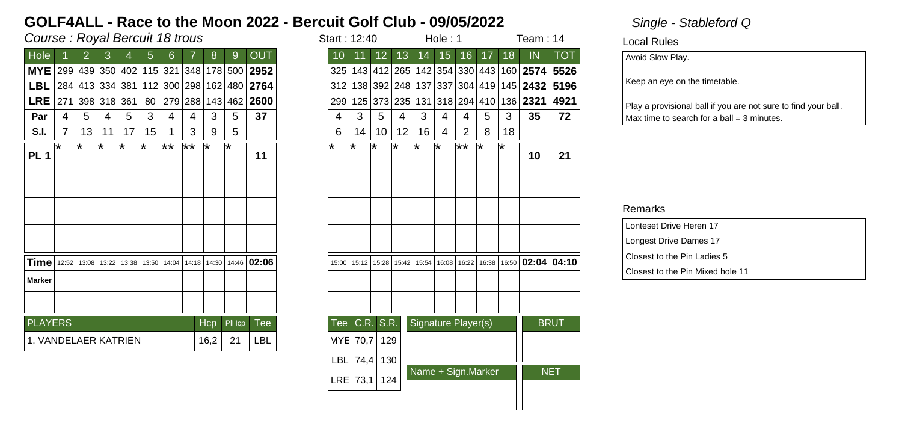## Course : Royal Bercuit 18 trous in the start is not in the start in the start in the start in the start in the start in the start in the start in the start in the start in the start in the start in the start in the start i

| Hole                 |                | 2           | 3               | 4     | 5     | 6   |     | 8           | 9                                   | OUT                                   |
|----------------------|----------------|-------------|-----------------|-------|-------|-----|-----|-------------|-------------------------------------|---------------------------------------|
| <b>MYE</b>           |                |             |                 |       |       |     |     |             | 299 439 350 402 115 321 348 178 500 | 2952                                  |
| LBL                  |                |             | 284 413 334 381 |       |       |     |     |             | 112 300 298 162 480                 | 2764                                  |
| <b>LRE</b>           | 271            |             | 398 318 361     |       | 80    |     |     | 279 288 143 | 462                                 | 2600                                  |
| Par                  | 4              | 5           | 4               | 5     | 3     | 4   | 4   | 3           | 5                                   | 37                                    |
| S.I.                 | $\overline{7}$ | 13          | 11              | 17    | 15    |     | 3   | 9           | 5                                   |                                       |
| <b>PL1</b>           | ⊺∗             | ⊺∗          | ₹               | ∗     | ¥     | ౹⋇⋇ | ⊺** | ⊺∗          | ⊺∗                                  | 11                                    |
|                      |                |             |                 |       |       |     |     |             |                                     |                                       |
|                      |                |             |                 |       |       |     |     |             |                                     |                                       |
|                      |                |             |                 |       |       |     |     |             |                                     |                                       |
|                      |                |             |                 |       |       |     |     |             |                                     |                                       |
| Timel                |                | 12:52 13:08 | 13:22           | 13:38 | 13:50 |     |     |             |                                     | 14:04   14:18   14:30   14:46   02:06 |
| <b>Marker</b>        |                |             |                 |       |       |     |     |             |                                     |                                       |
|                      |                |             |                 |       |       |     |     |             |                                     |                                       |
| <b>PLAYERS</b>       |                |             |                 |       |       |     |     | Hcp         | PIHcp                               | Tee                                   |
| 1. VANDELAER KATRIEN |                |             |                 |       |       |     |     | 16,2        | 21                                  | <b>LBL</b>                            |

| Course : Royal Bercuit 18 trous |   |    |                |    |                             |         |                 |      |       | Start: 12:40                  |       |                 |                 |                 | Hole: 1 |                               |    | Team: 14 |    |                                                                   |             |
|---------------------------------|---|----|----------------|----|-----------------------------|---------|-----------------|------|-------|-------------------------------|-------|-----------------|-----------------|-----------------|---------|-------------------------------|----|----------|----|-------------------------------------------------------------------|-------------|
| Hole                            |   | 2  | 3              | 4  | 5                           | 6       |                 | 8    | 9     | <b>OUT</b>                    | 10    | 11              | 12 <sup>°</sup> | 13              | 14      | 15                            | 16 | 17       | 18 | IN                                                                | <b>TOT</b>  |
| MYE 299 439 350 402 115 321     |   |    |                |    |                             |         |                 |      |       | 348 178 500 2952              |       |                 |                 |                 |         |                               |    |          |    | 325   143   412   265   142   354   330   443   160   2574   5526 |             |
| <b>LBL</b>                      |   |    |                |    | 284 413 334 381 112 300 298 |         |                 |      |       | 162 480 2764                  | 312   |                 |                 | 138 392 248     |         | 137 337                       |    |          |    | 304   419   145   <b>2432</b>                                     | 5196        |
| $LRE$  271                      |   |    | 398 318 361    |    | 80                          | 279 288 |                 | 143  |       | $ 462 $ 2600                  |       | 299 125 373 235 |                 |                 | 131     |                               |    |          |    | 318 294 410 136 2321                                              | 4921        |
| Par                             | 4 | 5  | $\overline{4}$ | 5  | 3                           | 4       | 4               | 3    | 5     | 37                            | 4     | 3               | 5               | 4               | 3       | 4                             | 4  | 5        | 3  | 35                                                                | 72          |
| S.I.                            | 7 | 13 | 11             | 17 | 15                          |         | 3               | 9    | 5     |                               | 6     | 14              | 10              | 12 <sub>2</sub> | 16      | 4                             | 2  | 8        | 18 |                                                                   |             |
| PL <sub>1</sub>                 | * | *  | ∗              | ¥  | ∗                           | ′**     | $\overline{**}$ | ⊺∗   | ∗     | 11                            | ⊺∗    | ⊺∗              | l*              | l*              | l*      | ౹∗                            | ≅∗ | ⊺∗       | ⊺∗ | 10                                                                | 21          |
|                                 |   |    |                |    |                             |         |                 |      |       |                               |       |                 |                 |                 |         |                               |    |          |    |                                                                   |             |
|                                 |   |    |                |    |                             |         |                 |      |       |                               |       |                 |                 |                 |         |                               |    |          |    |                                                                   |             |
|                                 |   |    |                |    |                             |         |                 |      |       |                               |       |                 |                 |                 |         |                               |    |          |    |                                                                   |             |
| $Time$   12:52                  |   |    | 13:08 13:22    |    | 13:38 13:50 14:04           |         |                 |      |       | 14:18   14:30   14:46   02:06 | 15:00 | 15:12           | 15:28           |                 |         | 15:42   15:54   16:08   16:22 |    |          |    | 16:38 16:50 02:04 04:10                                           |             |
| Marker                          |   |    |                |    |                             |         |                 |      |       |                               |       |                 |                 |                 |         |                               |    |          |    |                                                                   |             |
|                                 |   |    |                |    |                             |         |                 |      |       |                               |       |                 |                 |                 |         |                               |    |          |    |                                                                   |             |
| <b>PLAYERS</b>                  |   |    |                |    |                             |         |                 | Hcp  | PIHcp | <b>Tee</b>                    | Tee   |                 | CR. S.R.        |                 |         | Signature Player(s)           |    |          |    |                                                                   | <b>BRUT</b> |
| 1. VANDELAER KATRIEN            |   |    |                |    |                             |         |                 | 16,2 | 21    | <b>LBL</b>                    |       | MYE 70,7        | 129             |                 |         |                               |    |          |    |                                                                   |             |
|                                 |   |    |                |    |                             |         |                 |      |       |                               | LBL   | 74,4            | 130             |                 |         |                               |    |          |    |                                                                   |             |
|                                 |   |    |                |    |                             |         |                 |      |       |                               |       | $LRE$ 73,1      | 124             |                 |         | Name + Sign.Marker            |    |          |    |                                                                   | <b>NET</b>  |
|                                 |   |    |                |    |                             |         |                 |      |       |                               |       |                 |                 |                 |         |                               |    |          |    |                                                                   |             |
|                                 |   |    |                |    |                             |         |                 |      |       |                               |       |                 |                 |                 |         |                               |    |          |    |                                                                   |             |

Local Rules

Avoid Slow Play.

Keep an eye on the timetable.

Play a provisional ball if you are not sure to find your ball.  $Max$  time to search for a ball = 3 minutes.

| Lonteset Drive Heren 17          |
|----------------------------------|
| Longest Drive Dames 17           |
| Closest to the Pin Ladies 5      |
| Closest to the Pin Mixed hole 11 |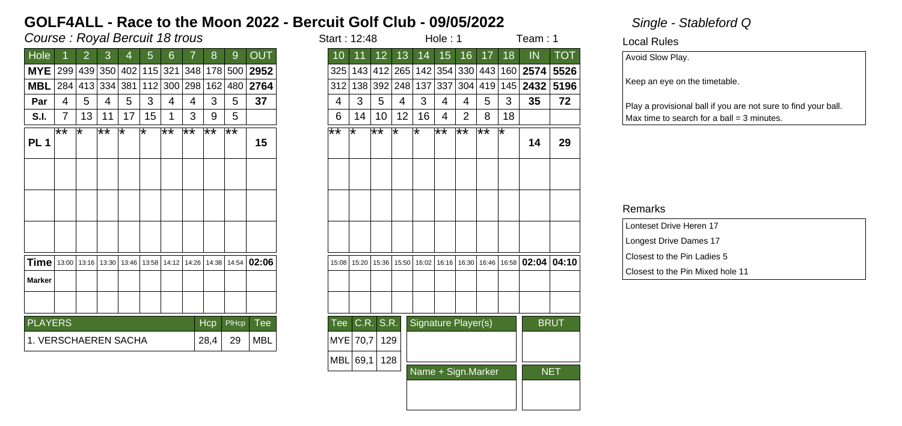## Course : Royal Bercuit 18 trous in the start is not in the start in the start in the start in the start in the start in the start in the start in the start in the start in the start in the start in the start in the start i

| <b>OUT</b><br>Hole<br>13<br>8<br>12<br>15<br>16<br>17<br>18<br>2<br>3<br>6<br>9<br>5<br>10<br>11<br>14<br>4<br><b>MYE</b><br>299 439 350 402 115 321 348 178 500<br>2952<br>143 412 265 142 354 330 443 160 <b>2574</b><br>325<br>2764<br><b>MBL</b><br>284 413 334 381<br>112 300 298 162 480<br> 337 <br>304 419 145 <b>2432</b><br>312<br>138 392 248 137<br>37<br>3<br>3<br>5<br>3<br>5<br>3<br>5<br>5<br>5<br>4<br>4<br>4<br>4<br>4<br>4<br>Par<br>4<br>4<br>13<br>12<br>7<br>17<br>15<br>3<br>9<br>5<br>14<br>10<br>16<br>2<br>8<br>S.I.<br>6<br>11<br>4<br>$***$<br>$**$<br>$**$<br>$\star\star$<br>∦*<br>∦*<br>$\overline{1+x}$<br>$\overline{**}$<br>⊺∗<br>⊺∗<br>$***$<br>⊺∗<br>∦*<br>∦*<br>⊺∗<br>⊺∗<br>⊺∗<br>PL <sub>1</sub><br>15<br>Time<br>14:12   14:26   14:38   14:54   <b>02:06</b><br>13:00 13:16 13:30<br>13:46<br>16:02<br>13:58<br>15:20<br>15:36<br>  15:50  <br>16:16 16:30<br>15:08<br><b>Marker</b><br>S.R.<br><b>PLAYERS</b><br>C.R.<br>Signature Player(s)<br>Hcp<br>PIHcp<br>Tee<br>Tee<br><b>MBL</b><br>1. VERSCHAEREN SACHA<br>28,4<br>MYE 70,7<br>129<br>29 |
|--------------------------------------------------------------------------------------------------------------------------------------------------------------------------------------------------------------------------------------------------------------------------------------------------------------------------------------------------------------------------------------------------------------------------------------------------------------------------------------------------------------------------------------------------------------------------------------------------------------------------------------------------------------------------------------------------------------------------------------------------------------------------------------------------------------------------------------------------------------------------------------------------------------------------------------------------------------------------------------------------------------------------------------------------------------------------------------------|
|                                                                                                                                                                                                                                                                                                                                                                                                                                                                                                                                                                                                                                                                                                                                                                                                                                                                                                                                                                                                                                                                                            |
|                                                                                                                                                                                                                                                                                                                                                                                                                                                                                                                                                                                                                                                                                                                                                                                                                                                                                                                                                                                                                                                                                            |
| 3                                                                                                                                                                                                                                                                                                                                                                                                                                                                                                                                                                                                                                                                                                                                                                                                                                                                                                                                                                                                                                                                                          |
| 18<br>⊺∗                                                                                                                                                                                                                                                                                                                                                                                                                                                                                                                                                                                                                                                                                                                                                                                                                                                                                                                                                                                                                                                                                   |
|                                                                                                                                                                                                                                                                                                                                                                                                                                                                                                                                                                                                                                                                                                                                                                                                                                                                                                                                                                                                                                                                                            |
|                                                                                                                                                                                                                                                                                                                                                                                                                                                                                                                                                                                                                                                                                                                                                                                                                                                                                                                                                                                                                                                                                            |
|                                                                                                                                                                                                                                                                                                                                                                                                                                                                                                                                                                                                                                                                                                                                                                                                                                                                                                                                                                                                                                                                                            |
| 16:46   16:58   02:04   04:1                                                                                                                                                                                                                                                                                                                                                                                                                                                                                                                                                                                                                                                                                                                                                                                                                                                                                                                                                                                                                                                               |
|                                                                                                                                                                                                                                                                                                                                                                                                                                                                                                                                                                                                                                                                                                                                                                                                                                                                                                                                                                                                                                                                                            |
|                                                                                                                                                                                                                                                                                                                                                                                                                                                                                                                                                                                                                                                                                                                                                                                                                                                                                                                                                                                                                                                                                            |
|                                                                                                                                                                                                                                                                                                                                                                                                                                                                                                                                                                                                                                                                                                                                                                                                                                                                                                                                                                                                                                                                                            |
|                                                                                                                                                                                                                                                                                                                                                                                                                                                                                                                                                                                                                                                                                                                                                                                                                                                                                                                                                                                                                                                                                            |
|                                                                                                                                                                                                                                                                                                                                                                                                                                                                                                                                                                                                                                                                                                                                                                                                                                                                                                                                                                                                                                                                                            |
|                                                                                                                                                                                                                                                                                                                                                                                                                                                                                                                                                                                                                                                                                                                                                                                                                                                                                                                                                                                                                                                                                            |
|                                                                                                                                                                                                                                                                                                                                                                                                                                                                                                                                                                                                                                                                                                                                                                                                                                                                                                                                                                                                                                                                                            |

|                             | Course : Royal Bercuit 18 trous<br>Hole: 1<br>Team: 1<br>Start: 12:48 |         |       |     |    |                |                               |                 |       |                      |  |               |          |                       |                 |         |                |                     |            |    |                                                       |             |
|-----------------------------|-----------------------------------------------------------------------|---------|-------|-----|----|----------------|-------------------------------|-----------------|-------|----------------------|--|---------------|----------|-----------------------|-----------------|---------|----------------|---------------------|------------|----|-------------------------------------------------------|-------------|
| Hole                        |                                                                       | 2       | 3     | 4   | 5  | $6\phantom{1}$ | 7                             | 8               | 9     | <b>OUT</b>           |  | 10            | 11       | 12 <sub>2</sub>       | 13              | 14      | 15             | 16                  | 17         | 18 | IN                                                    | <b>TOT</b>  |
| MYE 299 439 350 402 115 321 |                                                                       |         |       |     |    |                |                               |                 |       | $ 348 178 500 $ 2952 |  |               |          | 325   143   412   265 |                 |         |                |                     |            |    | 142 354 330 443 160 2574                              | 5526        |
| MBL 284 413 334             |                                                                       |         |       | 381 |    |                | 112 300 298 162               |                 |       | 480 2764             |  |               |          | 312 138 392 248       |                 | 137 337 |                | 304 419             |            |    | 145 2432                                              | 5196        |
| Par                         | 4                                                                     | 5       | 4     | 5   | 3  | 4              | 4                             | 3               | 5     | 37                   |  | 4             | 3        | 5                     | 4               | 3       | $\overline{4}$ | 4                   | 5          | 3  | 35                                                    | 72          |
| <b>S.I.</b>                 | $\overline{7}$                                                        | 13      | 11    | 17  | 15 | 1              | 3                             | 9               | 5     |                      |  | 6             | 14       | 10                    | 12 <sup>°</sup> | 16      | $\overline{4}$ | $\overline{2}$      | 8          | 18 |                                                       |             |
| PL <sub>1</sub>             | $\star\star$                                                          | $\star$ | $***$ | ⊺∗  | *  | $**$           | $**$                          | $\overline{**}$ | ∦∗    | 15                   |  | $\star\star$  | ⊺∗       | $\star\star$          | ⊺∗              | ⊺∗      | ౹∗∗            | ∦*                  | $\ast\ast$ | ⊺∗ | 14                                                    | 29          |
|                             |                                                                       |         |       |     |    |                |                               |                 |       |                      |  |               |          |                       |                 |         |                |                     |            |    |                                                       |             |
|                             |                                                                       |         |       |     |    |                |                               |                 |       |                      |  |               |          |                       |                 |         |                |                     |            |    |                                                       |             |
|                             |                                                                       |         |       |     |    |                |                               |                 |       |                      |  |               |          |                       |                 |         |                |                     |            |    |                                                       |             |
| Time   13:00                |                                                                       | 13:16   | 13:30 |     |    |                | 13:46   13:58   14:12   14:26 | 14:38           |       | $14:54$ 02:06        |  | 15:08 15:20   |          | 15:36                 | 15:50           |         |                |                     |            |    | 16:02   16:16   16:30   16:46   16:58   02:04   04:10 |             |
| Marker                      |                                                                       |         |       |     |    |                |                               |                 |       |                      |  |               |          |                       |                 |         |                |                     |            |    |                                                       |             |
|                             |                                                                       |         |       |     |    |                |                               |                 |       |                      |  |               |          |                       |                 |         |                |                     |            |    |                                                       |             |
| <b>PLAYERS</b>              |                                                                       |         |       |     |    |                |                               | Hcp             | PIHcp | Tee                  |  | Tee C.R. S.R. |          |                       |                 |         |                | Signature Player(s) |            |    |                                                       | <b>BRUT</b> |
| 1. VERSCHAEREN SACHA        |                                                                       |         |       |     |    |                |                               | 28,4            | 29    | <b>MBL</b>           |  |               | MYE 70,7 | 129                   |                 |         |                |                     |            |    |                                                       |             |
|                             |                                                                       |         |       |     |    |                |                               |                 |       |                      |  | MBL 69,1      |          | 128                   |                 |         |                |                     |            |    |                                                       |             |
|                             |                                                                       |         |       |     |    |                |                               |                 |       |                      |  |               |          |                       |                 |         |                | Name + Sign.Marker  |            |    |                                                       | <b>NET</b>  |
|                             |                                                                       |         |       |     |    |                |                               |                 |       |                      |  |               |          |                       |                 |         |                |                     |            |    |                                                       |             |

### Local Rules

Avoid Slow Play.

Keep an eye on the timetable.

Play a provisional ball if you are not sure to find your ball.  $Max$  time to search for a ball = 3 minutes.

| Lonteset Drive Heren 17          |
|----------------------------------|
| Longest Drive Dames 17           |
| Closest to the Pin Ladies 5      |
| Closest to the Pin Mixed hole 11 |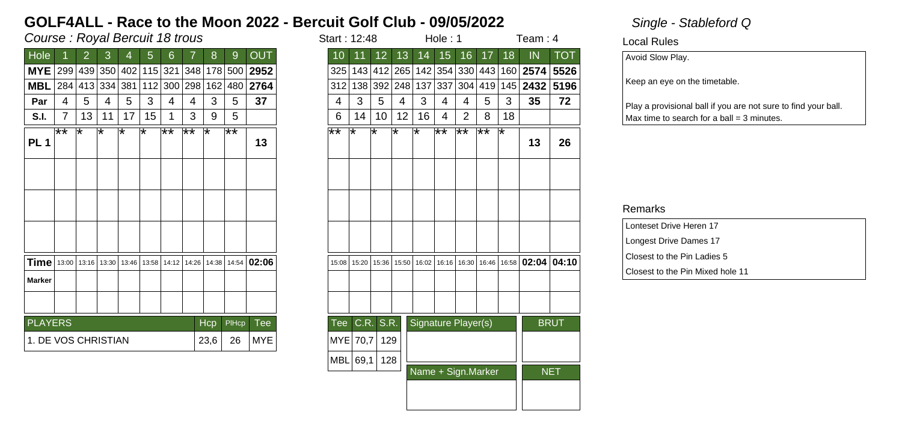## Course : Royal Bercuit 18 trous in the start is started in the start in the start in the start in the start in the start in the start in the start in the start in the start in the start in the start in the start in the sta

| <b>OUT</b><br>Hole<br>13<br>8<br>12<br>15<br>16<br>17<br>2<br>3<br>6<br>9<br>5<br>10<br>11<br>14<br>4<br><b>MYE</b><br>299 439 350 402 115 321 348 178 500<br>2952<br>143 412 265 142 354 330 443 160 <b>2574</b><br>325<br>2764<br><b>MBL</b><br>284 413 334 381<br>112 300 298 162 480<br> 337 <br>312<br>138 392 248 137<br>37<br>5<br>3<br>3<br>5<br>3<br>5<br>3<br>5<br>5<br>4<br>4<br>4<br>4<br>4<br>4<br>Par<br>4<br>4<br>13<br>12<br>$\overline{7}$<br>17<br>15<br>3<br>9<br>5<br>14<br>10<br>16<br>2<br>8<br>S.I.<br>6<br>11<br>4<br>$***$<br>$**$<br>$\overline{1+x}$<br>$\overline{**}$<br>⊺∗<br>$\star\star$<br>⊺∗<br>∦∗<br>$***$<br>⊺∗<br>∦*<br>⊺∗<br>⊺∗<br>⊺∗<br>⊺∗<br>∗<br>l*<br>PL <sub>1</sub><br>13<br>Time<br>14:12   14:26   14:38   14:54   <b>02:06</b><br>13:00 13:16 13:30<br>13:46<br>16:02<br>13:58<br>15:20<br>15:36   15:50  <br>16:16 16:30<br>15:08<br><b>Marker</b><br>S.R.<br><b>PLAYERS</b><br>C.R.<br>Signature Player(s)<br>Hcp<br>PIHcp<br>Tee<br>Tee<br>1. DE VOS CHRISTIAN<br>23,6<br><b>MYE</b><br>MYE 70,7<br>129<br>26 |
|-----------------------------------------------------------------------------------------------------------------------------------------------------------------------------------------------------------------------------------------------------------------------------------------------------------------------------------------------------------------------------------------------------------------------------------------------------------------------------------------------------------------------------------------------------------------------------------------------------------------------------------------------------------------------------------------------------------------------------------------------------------------------------------------------------------------------------------------------------------------------------------------------------------------------------------------------------------------------------------------------------------------------------------------------------------------|
|                                                                                                                                                                                                                                                                                                                                                                                                                                                                                                                                                                                                                                                                                                                                                                                                                                                                                                                                                                                                                                                                 |
| 304 419 145 <b>2432</b>                                                                                                                                                                                                                                                                                                                                                                                                                                                                                                                                                                                                                                                                                                                                                                                                                                                                                                                                                                                                                                         |
|                                                                                                                                                                                                                                                                                                                                                                                                                                                                                                                                                                                                                                                                                                                                                                                                                                                                                                                                                                                                                                                                 |
| 18                                                                                                                                                                                                                                                                                                                                                                                                                                                                                                                                                                                                                                                                                                                                                                                                                                                                                                                                                                                                                                                              |
| ⊺∗                                                                                                                                                                                                                                                                                                                                                                                                                                                                                                                                                                                                                                                                                                                                                                                                                                                                                                                                                                                                                                                              |
| 16:46   16:58   02:04   04:1                                                                                                                                                                                                                                                                                                                                                                                                                                                                                                                                                                                                                                                                                                                                                                                                                                                                                                                                                                                                                                    |
|                                                                                                                                                                                                                                                                                                                                                                                                                                                                                                                                                                                                                                                                                                                                                                                                                                                                                                                                                                                                                                                                 |
|                                                                                                                                                                                                                                                                                                                                                                                                                                                                                                                                                                                                                                                                                                                                                                                                                                                                                                                                                                                                                                                                 |
|                                                                                                                                                                                                                                                                                                                                                                                                                                                                                                                                                                                                                                                                                                                                                                                                                                                                                                                                                                                                                                                                 |
|                                                                                                                                                                                                                                                                                                                                                                                                                                                                                                                                                                                                                                                                                                                                                                                                                                                                                                                                                                                                                                                                 |
|                                                                                                                                                                                                                                                                                                                                                                                                                                                                                                                                                                                                                                                                                                                                                                                                                                                                                                                                                                                                                                                                 |
|                                                                                                                                                                                                                                                                                                                                                                                                                                                                                                                                                                                                                                                                                                                                                                                                                                                                                                                                                                                                                                                                 |
|                                                                                                                                                                                                                                                                                                                                                                                                                                                                                                                                                                                                                                                                                                                                                                                                                                                                                                                                                                                                                                                                 |
|                                                                                                                                                                                                                                                                                                                                                                                                                                                                                                                                                                                                                                                                                                                                                                                                                                                                                                                                                                                                                                                                 |

|                                                 | Course : Royal Bercuit 18 trous<br>Hole: 1<br>Start: 12:48 |                |    |    |    |                 |              |     |       |                                                                                                                                                                               |                 |                 |                 |       | Team: 4 |    |                     |                             |    |                                                               |             |
|-------------------------------------------------|------------------------------------------------------------|----------------|----|----|----|-----------------|--------------|-----|-------|-------------------------------------------------------------------------------------------------------------------------------------------------------------------------------|-----------------|-----------------|-----------------|-------|---------|----|---------------------|-----------------------------|----|---------------------------------------------------------------|-------------|
| Hole                                            |                                                            | $\overline{2}$ | 3  | 4  | 5  | $6\phantom{1}$  | 7            | 8   | 9     | <b>OUT</b>                                                                                                                                                                    | 10 <sup>°</sup> | 11              | 12 <sub>2</sub> | 13    | 14      | 15 | 16                  | 17                          | 18 | IN                                                            | <b>TOT</b>  |
|                                                 |                                                            |                |    |    |    |                 |              |     |       | MYE 299 439 350 402 115 321 348 178 500 2952                                                                                                                                  |                 |                 |                 |       |         |    |                     |                             |    | 325   143   412   265   142   354   330   443   160   2574    | 5526        |
| <b>MBL</b> 284 413 334 381                      |                                                            |                |    |    |    |                 |              |     |       | 112 300 298 162 480 2764                                                                                                                                                      |                 | 312 138 392 248 |                 |       |         |    |                     | 137   337   304   419   145 |    | 2432                                                          | 5196        |
| Par                                             | 4                                                          | 5              | 4  | 5  | 3  | 4               | 4            | 3   | 5     | 37                                                                                                                                                                            | 4               | 3               | 5               | 4     | 3       | 4  | 4                   | 5                           | 3  | 35                                                            | 72          |
| <b>S.I.</b>                                     | $\overline{7}$                                             | 13             | 11 | 17 | 15 | 1               | 3            | 9   | 5     |                                                                                                                                                                               | 6               | 14              | 10              | 12    | 16      | 4  | 2                   | 8                           | 18 |                                                               |             |
| <b>PL 1</b>                                     | $**$                                                       | ¥              | ¥  | ∗  | ⊺∗ | $\overline{**}$ | $\star\star$ | ⊺∗  | ∦∗    | 13                                                                                                                                                                            | $\star\star$    | ⊺∗              | ∗               | l*    | ⊺∗      | ∦∗ | $\overline{11}$     | $\ast\ast$                  | ⊺∗ | 13                                                            | 26          |
|                                                 |                                                            |                |    |    |    |                 |              |     |       |                                                                                                                                                                               |                 |                 |                 |       |         |    |                     |                             |    |                                                               |             |
|                                                 |                                                            |                |    |    |    |                 |              |     |       |                                                                                                                                                                               |                 |                 |                 |       |         |    |                     |                             |    |                                                               |             |
|                                                 |                                                            |                |    |    |    |                 |              |     |       |                                                                                                                                                                               |                 |                 |                 |       |         |    |                     |                             |    |                                                               |             |
|                                                 |                                                            |                |    |    |    |                 |              |     |       | <b>Time</b> $\left $ 13:00 $\right $ 13:16 $\left $ 13:30 $\right $ 13:46 $\left $ 13:58 $\right $ 14:12 $\left $ 14:26 $\right $ 14:38 $\left $ 14:54 $\right $ <b>02:06</b> |                 | 15:08 15:20     | 15:36           | 15:50 |         |    |                     |                             |    | $\vert$ 16:02   16:16   16:30   16:46   16:58   02:04   04:10 |             |
| Marker                                          |                                                            |                |    |    |    |                 |              |     |       |                                                                                                                                                                               |                 |                 |                 |       |         |    |                     |                             |    |                                                               |             |
|                                                 |                                                            |                |    |    |    |                 |              |     |       |                                                                                                                                                                               |                 |                 |                 |       |         |    |                     |                             |    |                                                               |             |
| <b>PLAYERS</b>                                  |                                                            |                |    |    |    |                 |              | Hcp | PIHcp | Tee                                                                                                                                                                           | $\sf{Tee}$      |                 | C.R. S.R.       |       |         |    | Signature Player(s) |                             |    |                                                               | <b>BRUT</b> |
| 1. DE VOS CHRISTIAN<br>23,6<br><b>MYE</b><br>26 |                                                            |                |    |    |    |                 |              |     |       |                                                                                                                                                                               |                 | MYE 70,7 129    |                 |       |         |    |                     |                             |    |                                                               |             |
|                                                 |                                                            |                |    |    |    |                 |              |     |       |                                                                                                                                                                               |                 | MBL 69,1 128    |                 |       |         |    |                     |                             |    |                                                               |             |
|                                                 |                                                            |                |    |    |    |                 |              |     |       |                                                                                                                                                                               |                 |                 |                 |       |         |    |                     | Name + Sign.Marker          |    |                                                               | <b>NET</b>  |
|                                                 |                                                            |                |    |    |    |                 |              |     |       |                                                                                                                                                                               |                 |                 |                 |       |         |    |                     |                             |    |                                                               |             |
|                                                 |                                                            |                |    |    |    |                 |              |     |       |                                                                                                                                                                               |                 |                 |                 |       |         |    |                     |                             |    |                                                               |             |
|                                                 |                                                            |                |    |    |    |                 |              |     |       |                                                                                                                                                                               |                 |                 |                 |       |         |    |                     |                             |    |                                                               |             |

### Local Rules

Avoid Slow Play.

Keep an eye on the timetable.

Play a provisional ball if you are not sure to find your ball.  $Max$  time to search for a ball = 3 minutes.

| Lonteset Drive Heren 17          |  |
|----------------------------------|--|
| Longest Drive Dames 17           |  |
| Closest to the Pin Ladies 5      |  |
| Closest to the Pin Mixed hole 11 |  |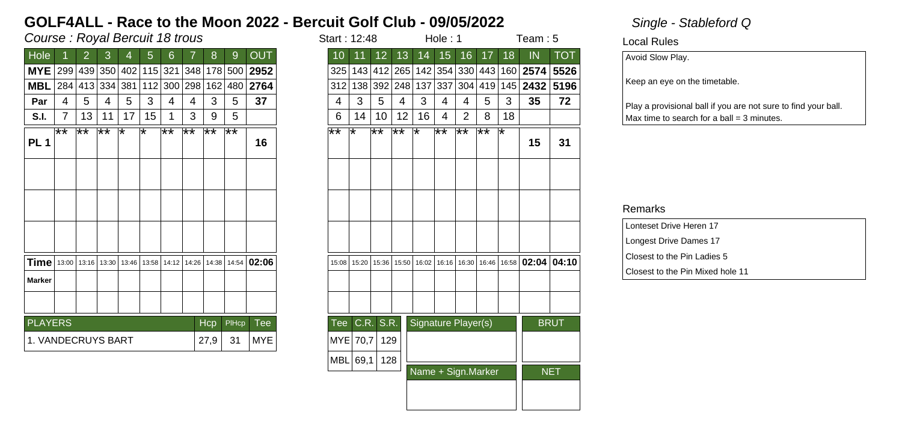## Course : Royal Bercuit 18 trous in the start is started in the start in the start in the start in the start in the start in the start in the start in the start in the start in the start in the start in the start in the sta

| <b>OUT</b><br>13<br>Hole<br>8<br>12<br>15<br>16<br>17<br>18<br>2<br>3<br>6<br>9<br>5<br>10<br>11<br>14<br>4<br><b>MYE</b><br>299 439 350 402 115 321 348 178 500<br>2952<br>143 412 265 142 354 330 443 160 2574<br>325<br>2764<br><b>MBL</b><br>284 413 334 381<br>112 300 298 162 480<br>337<br>304 419 145 <b>2432</b><br>312<br>138 392 248 137<br>37<br>3<br>3<br>5<br>3<br>5<br>3<br>5<br>5<br>5<br>4<br>4<br>4<br>4<br>4<br>Par<br>4<br>4<br>4<br>12<br>13<br>17<br>15<br>3<br>9<br>5<br>10<br>16<br>2<br>8<br>S.I.<br>7<br>6<br>14<br>11<br>4<br>$***$<br>∦∗<br>∦∗<br>$**$<br>∦*<br>∦*<br>$\overline{**}$<br>$\overline{**}$<br>⊺∗<br>⊺∗<br>$\star\star$<br>$***$<br>⊺∗<br>∦*<br>౹∗∗<br>⊺∗<br>∦*<br>PL <sub>1</sub><br>16<br>Time<br>14:12   14:26   14:38   14:54   <b>02:06</b><br>13:00 13:16 13:30<br>16:02<br>13:46<br>13:58<br>15:20<br>15:36<br>  15:50  <br>16:16 16:30<br>15:08<br><b>Marker</b><br>S.R.<br><b>PLAYERS</b><br>C.R.<br>Signature Player(s)<br>PIHcp<br>Tee<br>Hcp<br>Tee<br>27,9<br>1. VANDECRUYS BART<br>MYE<br>MYE 70,7<br>129<br>31 |
|------------------------------------------------------------------------------------------------------------------------------------------------------------------------------------------------------------------------------------------------------------------------------------------------------------------------------------------------------------------------------------------------------------------------------------------------------------------------------------------------------------------------------------------------------------------------------------------------------------------------------------------------------------------------------------------------------------------------------------------------------------------------------------------------------------------------------------------------------------------------------------------------------------------------------------------------------------------------------------------------------------------------------------------------------------------------|
|                                                                                                                                                                                                                                                                                                                                                                                                                                                                                                                                                                                                                                                                                                                                                                                                                                                                                                                                                                                                                                                                        |
|                                                                                                                                                                                                                                                                                                                                                                                                                                                                                                                                                                                                                                                                                                                                                                                                                                                                                                                                                                                                                                                                        |
| 3<br>⊺∗                                                                                                                                                                                                                                                                                                                                                                                                                                                                                                                                                                                                                                                                                                                                                                                                                                                                                                                                                                                                                                                                |
| 18                                                                                                                                                                                                                                                                                                                                                                                                                                                                                                                                                                                                                                                                                                                                                                                                                                                                                                                                                                                                                                                                     |
|                                                                                                                                                                                                                                                                                                                                                                                                                                                                                                                                                                                                                                                                                                                                                                                                                                                                                                                                                                                                                                                                        |
|                                                                                                                                                                                                                                                                                                                                                                                                                                                                                                                                                                                                                                                                                                                                                                                                                                                                                                                                                                                                                                                                        |
|                                                                                                                                                                                                                                                                                                                                                                                                                                                                                                                                                                                                                                                                                                                                                                                                                                                                                                                                                                                                                                                                        |
| 16:46   16:58   02:04   04:1                                                                                                                                                                                                                                                                                                                                                                                                                                                                                                                                                                                                                                                                                                                                                                                                                                                                                                                                                                                                                                           |
|                                                                                                                                                                                                                                                                                                                                                                                                                                                                                                                                                                                                                                                                                                                                                                                                                                                                                                                                                                                                                                                                        |
|                                                                                                                                                                                                                                                                                                                                                                                                                                                                                                                                                                                                                                                                                                                                                                                                                                                                                                                                                                                                                                                                        |
|                                                                                                                                                                                                                                                                                                                                                                                                                                                                                                                                                                                                                                                                                                                                                                                                                                                                                                                                                                                                                                                                        |
|                                                                                                                                                                                                                                                                                                                                                                                                                                                                                                                                                                                                                                                                                                                                                                                                                                                                                                                                                                                                                                                                        |
|                                                                                                                                                                                                                                                                                                                                                                                                                                                                                                                                                                                                                                                                                                                                                                                                                                                                                                                                                                                                                                                                        |
|                                                                                                                                                                                                                                                                                                                                                                                                                                                                                                                                                                                                                                                                                                                                                                                                                                                                                                                                                                                                                                                                        |

|                             | Course : Royal Bercuit 18 trous<br>Team: $5$<br>Hole: 1<br>Start: 12:48 |       |              |     |                               |                |                 |      |       |                           |  |                   |          |                       |                 |                       |    |                     |      |    |                           |             |
|-----------------------------|-------------------------------------------------------------------------|-------|--------------|-----|-------------------------------|----------------|-----------------|------|-------|---------------------------|--|-------------------|----------|-----------------------|-----------------|-----------------------|----|---------------------|------|----|---------------------------|-------------|
| Hole                        |                                                                         | 2     | 3            | 4   | 5                             | $6\phantom{1}$ | 7               | 8    | 9     | <b>OUT</b>                |  | 10                | 11       | 12                    | 13              | 14                    | 15 | 16                  | 17   | 18 | IN                        | <b>TOT</b>  |
| MYE 299 439 350 402 115 321 |                                                                         |       |              |     |                               |                |                 |      |       | 348 178 500 2952          |  |                   |          | 325   143   412   265 |                 |                       |    |                     |      |    | 142 354 330 443 160 2574  | 5526        |
| MBL 284 413 334             |                                                                         |       |              | 381 |                               |                | 112 300 298 162 |      |       | 480 2764                  |  |                   |          | 312 138 392 248       |                 | 137 337               |    | 304 419             |      |    | 145 2432                  | 5196        |
| Par                         | 4                                                                       | 5     | 4            | 5   | 3                             | 4              | 4               | 3    | 5     | 37                        |  | 4                 | 3        | 5                     | 4               | 3                     | 4  | 4                   | 5    | 3  | 35                        | 72          |
| <b>S.I.</b>                 | $\overline{7}$                                                          | 13    | 11           | 17  | 15                            | 1              | 3               | 9    | 5     |                           |  | 6                 | 14       | 10                    | 12 <sup>°</sup> | 16                    | 4  | $\overline{2}$      | 8    | 18 |                           |             |
| PL <sub>1</sub>             | $\star\star$                                                            | $***$ | $\star\star$ | ⊺∗  | ∗                             | $**$           | $***$           | **   | ∦∗    | 16                        |  | $***$             | ⊺∗       | **                    | $\overline{**}$ | ⊺∗                    | ∦∗ | ∦*                  | $**$ | ⊺∗ | 15                        | 31          |
|                             |                                                                         |       |              |     |                               |                |                 |      |       |                           |  |                   |          |                       |                 |                       |    |                     |      |    |                           |             |
|                             |                                                                         |       |              |     |                               |                |                 |      |       |                           |  |                   |          |                       |                 |                       |    |                     |      |    |                           |             |
|                             |                                                                         |       |              |     |                               |                |                 |      |       |                           |  |                   |          |                       |                 |                       |    |                     |      |    |                           |             |
| Time   13:00   13:16        |                                                                         |       | 13:30        |     | 13:46   13:58   14:12   14:26 |                |                 |      |       | $ $ 14:38   14:54   02:06 |  | 15:08             | 15:20    | 15:36                 | 15:50           | 16:02   16:16   16:30 |    |                     |      |    | $16:46$ 16:58 02:04 04:10 |             |
| Marker                      |                                                                         |       |              |     |                               |                |                 |      |       |                           |  |                   |          |                       |                 |                       |    |                     |      |    |                           |             |
|                             |                                                                         |       |              |     |                               |                |                 |      |       |                           |  |                   |          |                       |                 |                       |    |                     |      |    |                           |             |
| <b>PLAYERS</b>              |                                                                         |       |              |     |                               |                |                 | Hcp  | PIHcp | Tee                       |  |                   |          | Tee C.R. S.R.         |                 |                       |    | Signature Player(s) |      |    |                           | <b>BRUT</b> |
| 1. VANDECRUYS BART          |                                                                         |       |              |     |                               |                |                 | 27,9 | 31    | <b>MYE</b>                |  | $MYE$ 70,7<br>129 |          |                       |                 |                       |    |                     |      |    |                           |             |
|                             |                                                                         |       |              |     |                               |                |                 |      |       |                           |  |                   | MBL 69,1 | 128                   |                 |                       |    |                     |      |    |                           |             |
|                             |                                                                         |       |              |     |                               |                |                 |      |       |                           |  |                   |          |                       |                 |                       |    | Name + Sign.Marker  |      |    |                           | <b>NET</b>  |
|                             |                                                                         |       |              |     |                               |                |                 |      |       |                           |  |                   |          |                       |                 |                       |    |                     |      |    |                           |             |

Local Rules

Avoid Slow Play.

Keep an eye on the timetable.

Play a provisional ball if you are not sure to find your ball.  $Max$  time to search for a ball = 3 minutes.

| Lonteset Drive Heren 17          |  |
|----------------------------------|--|
| Longest Drive Dames 17           |  |
| Closest to the Pin Ladies 5      |  |
| Closest to the Pin Mixed hole 11 |  |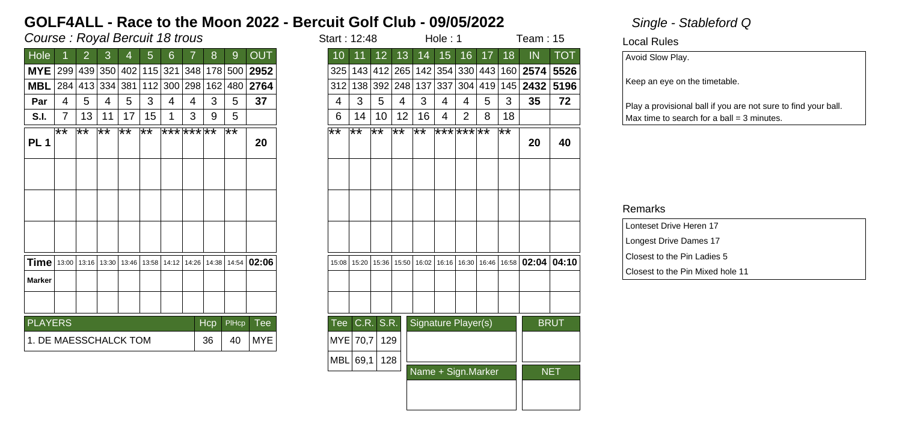## Course : Royal Bercuit 18 trous in the start is not in the start in the start in the start in the start in the start in the start in the start in the start in the start in the start in the start in the start in the start i

| <b>OUT</b><br>13<br>Hole<br>12<br>15<br>16<br>17<br>18<br>2<br>3<br>6<br>8<br>9<br>5<br>10<br>11<br>14<br>4<br><b>MYE</b><br>299 439 350 402 115 321 348 178 500<br>2952<br>143 412 265 142 354 330 443 160 <b>2574</b><br>325<br>2764<br><b>MBL</b><br>112 300 298 162 480<br> 337 <br>304 419 145 <b>2432</b><br>284 413 334 381<br>312<br>138 392 248 137<br>37<br>3<br>3<br>5<br>3<br>3<br>5<br>5<br>5<br>5<br>4<br>4<br>4<br>4<br>4<br>Par<br>4<br>4<br>4<br>12<br>13<br>17<br>15<br>3<br>9<br>5<br>10<br>16<br>2<br>8<br>S.I.<br>7<br>6<br>14<br>11<br>4<br>$***$<br>∦∗<br>∦∗<br>$***$<br>⊺**<br>********<br>$\overline{1+x}$<br>$\overline{1+x}$<br>$\overline{1}$ $\overline{1}$ $\overline{1}$ $\overline{1}$ $\overline{1}$ $\overline{1}$ $\overline{1}$ $\overline{1}$ $\overline{1}$ $\overline{1}$ $\overline{1}$ $\overline{1}$ $\overline{1}$ $\overline{1}$ $\overline{1}$ $\overline{1}$ $\overline{1}$ $\overline{1}$ $\overline{1}$ $\overline{1}$ $\overline{1}$ $\overline{1}$ $\overline{1}$ $\overline{1}$ $\overline{$<br>*** *** **<br>$\overline{1+x}$<br>$***$<br>౹∗∗<br>PL <sub>1</sub><br>20<br><b>Time</b><br>14:12   14:26   14:38   14:54   <b>02:06</b><br>13:00 13:16 13:30<br>16:02<br>13:46<br>13:58<br>15:20<br>15:36<br>  15:50  <br>16:16 16:30<br>15:08<br><b>Marker</b><br>S.R.<br><b>PLAYERS</b><br>C.R.<br>Signature Player(s)<br>PIHcp<br>Tee<br>Hcp<br>Tee<br>1. DE MAESSCHALCK TOM<br>36<br>MYE<br>MYE 70,7<br>129<br>40 |
|-------------------------------------------------------------------------------------------------------------------------------------------------------------------------------------------------------------------------------------------------------------------------------------------------------------------------------------------------------------------------------------------------------------------------------------------------------------------------------------------------------------------------------------------------------------------------------------------------------------------------------------------------------------------------------------------------------------------------------------------------------------------------------------------------------------------------------------------------------------------------------------------------------------------------------------------------------------------------------------------------------------------------------------------------------------------------------------------------------------------------------------------------------------------------------------------------------------------------------------------------------------------------------------------------------------------------------------------------------------------------------------------------------------------------------------------------------------------------|
|                                                                                                                                                                                                                                                                                                                                                                                                                                                                                                                                                                                                                                                                                                                                                                                                                                                                                                                                                                                                                                                                                                                                                                                                                                                                                                                                                                                                                                                                         |
|                                                                                                                                                                                                                                                                                                                                                                                                                                                                                                                                                                                                                                                                                                                                                                                                                                                                                                                                                                                                                                                                                                                                                                                                                                                                                                                                                                                                                                                                         |
|                                                                                                                                                                                                                                                                                                                                                                                                                                                                                                                                                                                                                                                                                                                                                                                                                                                                                                                                                                                                                                                                                                                                                                                                                                                                                                                                                                                                                                                                         |
| 18                                                                                                                                                                                                                                                                                                                                                                                                                                                                                                                                                                                                                                                                                                                                                                                                                                                                                                                                                                                                                                                                                                                                                                                                                                                                                                                                                                                                                                                                      |
| $**$                                                                                                                                                                                                                                                                                                                                                                                                                                                                                                                                                                                                                                                                                                                                                                                                                                                                                                                                                                                                                                                                                                                                                                                                                                                                                                                                                                                                                                                                    |
|                                                                                                                                                                                                                                                                                                                                                                                                                                                                                                                                                                                                                                                                                                                                                                                                                                                                                                                                                                                                                                                                                                                                                                                                                                                                                                                                                                                                                                                                         |
| 16:46   16:58   02:04   04:1                                                                                                                                                                                                                                                                                                                                                                                                                                                                                                                                                                                                                                                                                                                                                                                                                                                                                                                                                                                                                                                                                                                                                                                                                                                                                                                                                                                                                                            |
|                                                                                                                                                                                                                                                                                                                                                                                                                                                                                                                                                                                                                                                                                                                                                                                                                                                                                                                                                                                                                                                                                                                                                                                                                                                                                                                                                                                                                                                                         |
|                                                                                                                                                                                                                                                                                                                                                                                                                                                                                                                                                                                                                                                                                                                                                                                                                                                                                                                                                                                                                                                                                                                                                                                                                                                                                                                                                                                                                                                                         |
|                                                                                                                                                                                                                                                                                                                                                                                                                                                                                                                                                                                                                                                                                                                                                                                                                                                                                                                                                                                                                                                                                                                                                                                                                                                                                                                                                                                                                                                                         |
|                                                                                                                                                                                                                                                                                                                                                                                                                                                                                                                                                                                                                                                                                                                                                                                                                                                                                                                                                                                                                                                                                                                                                                                                                                                                                                                                                                                                                                                                         |
|                                                                                                                                                                                                                                                                                                                                                                                                                                                                                                                                                                                                                                                                                                                                                                                                                                                                                                                                                                                                                                                                                                                                                                                                                                                                                                                                                                                                                                                                         |
|                                                                                                                                                                                                                                                                                                                                                                                                                                                                                                                                                                                                                                                                                                                                                                                                                                                                                                                                                                                                                                                                                                                                                                                                                                                                                                                                                                                                                                                                         |
|                                                                                                                                                                                                                                                                                                                                                                                                                                                                                                                                                                                                                                                                                                                                                                                                                                                                                                                                                                                                                                                                                                                                                                                                                                                                                                                                                                                                                                                                         |
|                                                                                                                                                                                                                                                                                                                                                                                                                                                                                                                                                                                                                                                                                                                                                                                                                                                                                                                                                                                                                                                                                                                                                                                                                                                                                                                                                                                                                                                                         |
|                                                                                                                                                                                                                                                                                                                                                                                                                                                                                                                                                                                                                                                                                                                                                                                                                                                                                                                                                                                                                                                                                                                                                                                                                                                                                                                                                                                                                                                                         |
|                                                                                                                                                                                                                                                                                                                                                                                                                                                                                                                                                                                                                                                                                                                                                                                                                                                                                                                                                                                                                                                                                                                                                                                                                                                                                                                                                                                                                                                                         |
|                                                                                                                                                                                                                                                                                                                                                                                                                                                                                                                                                                                                                                                                                                                                                                                                                                                                                                                                                                                                                                                                                                                                                                                                                                                                                                                                                                                                                                                                         |
|                                                                                                                                                                                                                                                                                                                                                                                                                                                                                                                                                                                                                                                                                                                                                                                                                                                                                                                                                                                                                                                                                                                                                                                                                                                                                                                                                                                                                                                                         |

|                                                 | Course : Royal Bercuit 18 trous<br>Hole: 1<br>Team: $15$<br>Start: 12:48<br>17 <sub>2</sub><br>10<br>12 <sup>°</sup><br>13<br>15<br>16<br>18 |              |       |      |                               |                |   |     |       |                     |  |  |  |  |
|-------------------------------------------------|----------------------------------------------------------------------------------------------------------------------------------------------|--------------|-------|------|-------------------------------|----------------|---|-----|-------|---------------------|--|--|--|--|
| Hole                                            |                                                                                                                                              | 2            | 3     | 4    | 5                             | $6\phantom{1}$ | 7 | 8   | 9     | <b>OUT</b>          |  |  |  |  |
| <b>MYE</b> 299 439 350 402                      |                                                                                                                                              |              |       |      | 115 321                       |                |   |     |       | 348 178 500 2952    |  |  |  |  |
| <b>MBL</b> 284 413 334 381                      |                                                                                                                                              |              |       |      |                               | 112 300 298    |   | 162 |       | 480 2764            |  |  |  |  |
| Par                                             | 4                                                                                                                                            | 5            | 4     | 5    | 3                             | 4              | 4 | 3   | 5     | 37                  |  |  |  |  |
| <b>S.I.</b>                                     | $\overline{7}$                                                                                                                               | 13           | 11    | 17   | 15                            | 1              | 3 | 9   | 5     |                     |  |  |  |  |
| PL <sub>1</sub>                                 | $\star\star$                                                                                                                                 | $\star\star$ | $***$ | $**$ | $\star\star$                  | *** *** **     |   |     | ∦*    | 20                  |  |  |  |  |
|                                                 |                                                                                                                                              |              |       |      |                               |                |   |     |       |                     |  |  |  |  |
|                                                 |                                                                                                                                              |              |       |      |                               |                |   |     |       |                     |  |  |  |  |
|                                                 |                                                                                                                                              |              |       |      |                               |                |   |     |       |                     |  |  |  |  |
| <b>Time</b> 13:00 13:16 13:30                   |                                                                                                                                              |              |       |      | 13:46   13:58   14:12   14:26 |                |   |     |       | $14:38$ 14:54 02:06 |  |  |  |  |
| Marker                                          |                                                                                                                                              |              |       |      |                               |                |   |     |       |                     |  |  |  |  |
|                                                 |                                                                                                                                              |              |       |      |                               |                |   |     |       |                     |  |  |  |  |
| <b>PLAYERS</b>                                  |                                                                                                                                              |              |       |      |                               |                |   | Hcp | PIHcp | Tee                 |  |  |  |  |
| 1. DE MAESSCHALCK TOM<br><b>MYE</b><br>36<br>40 |                                                                                                                                              |              |       |      |                               |                |   |     |       |                     |  |  |  |  |
|                                                 |                                                                                                                                              |              |       |      |                               |                |   |     |       |                     |  |  |  |  |
|                                                 |                                                                                                                                              |              |       |      |                               |                |   |     |       |                     |  |  |  |  |
|                                                 |                                                                                                                                              |              |       |      |                               |                |   |     |       |                     |  |  |  |  |
|                                                 |                                                                                                                                              |              |       |      |                               |                |   |     |       |                     |  |  |  |  |

Local Rules

Avoid Slow Play.

Keep an eye on the timetable.

Play a provisional ball if you are not sure to find your ball.  $Max$  time to search for a ball = 3 minutes.

| Lonteset Drive Heren 17          |  |
|----------------------------------|--|
| Longest Drive Dames 17           |  |
| Closest to the Pin Ladies 5      |  |
| Closest to the Pin Mixed hole 11 |  |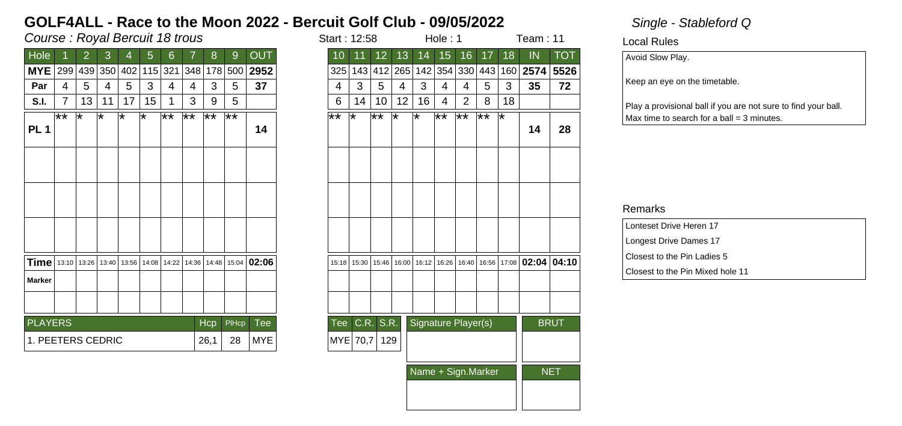## Course : Royal Bercuit 18 trous in the start is started in the start in the start in the start in the start in the start in the start in the start in the start in the start in the start in the start in the start in the sta

| Hole                                |      | 2  | 3       | 4   | 5                             | 6          |                 | 8     | 9     | <b>OUT</b>  |
|-------------------------------------|------|----|---------|-----|-------------------------------|------------|-----------------|-------|-------|-------------|
| <b>MYE</b>                          | 299  |    | 439 350 | 402 |                               | 115 321    | 348             | 178   | 500   | 2952        |
| Par                                 | 4    | 5  | 4       | 5   | 3                             | 4          | 4               | 3     | 5     | 37          |
| S.I.                                | 7    | 13 | 11      | 17  | 15                            | 1          | 3               | 9     | 5     |             |
|                                     | $**$ | ⊺∗ | ᅚ       | ⊺*  | ⊺∗                            | $\ast\ast$ | $\overline{**}$ | ∦∗    | ⊺**   |             |
| <b>PL1</b>                          |      |    |         |     |                               |            |                 |       |       | 14          |
|                                     |      |    |         |     |                               |            |                 |       |       |             |
|                                     |      |    |         |     |                               |            |                 |       |       |             |
|                                     |      |    |         |     |                               |            |                 |       |       |             |
|                                     |      |    |         |     |                               |            |                 |       |       |             |
|                                     |      |    |         |     |                               |            |                 |       |       |             |
|                                     |      |    |         |     |                               |            |                 |       |       |             |
|                                     |      |    |         |     |                               |            |                 |       |       |             |
|                                     |      |    |         |     |                               |            |                 |       |       |             |
| <b>Time</b>   13:10   13:26   13:40 |      |    |         |     | 13:56   14:08   14:22   14:36 |            |                 | 14:48 |       | 15:04 02:06 |
| <b>Marker</b>                       |      |    |         |     |                               |            |                 |       |       |             |
|                                     |      |    |         |     |                               |            |                 |       |       |             |
|                                     |      |    |         |     |                               |            |                 |       |       |             |
| <b>PLAYERS</b>                      |      |    |         |     |                               |            |                 | Hcp   | PIHcp | Tee         |
| 1. PEETERS CEDRIC                   |      |    |         |     |                               |            |                 | 26,1  | 28    | <b>MYE</b>  |
|                                     |      |    |         |     |                               |            |                 |       |       |             |

| tart : 12:58 |       |                    |       |                     | Hole: 1                 |                 | Team : 11       |       |       |             |
|--------------|-------|--------------------|-------|---------------------|-------------------------|-----------------|-----------------|-------|-------|-------------|
| 10           | 11    | 12                 | 13    | 14                  | 15                      | 16              | 17              | 18    | IN    | <b>TOT</b>  |
| 325          | 143   | 412                | 265   |                     | 142 354                 | 330             | 443             | 160   | 2574  | 5526        |
| 4            | 3     | 5                  | 4     | 3                   | 4                       | 4               | 5               | 3     | 35    | 72          |
| 6            | 14    | 10                 | 12    | 16                  | 4                       | $\overline{2}$  | 8               | 18    |       |             |
| **           | ∗     | $\bigstar\bigstar$ | ∗     | ∗                   | $\overline{ \ast \ast}$ | $\overline{**}$ | $\overline{**}$ | ∗     | 14    | 28          |
|              |       |                    |       |                     |                         |                 |                 |       |       |             |
|              |       |                    |       |                     |                         |                 |                 |       |       |             |
|              |       |                    |       |                     |                         |                 |                 |       |       |             |
| 15:18        | 15:30 | 15:46              | 16:00 | 16:12               | 16:26                   | 16:40           | 16:56           | 17:08 | 02:04 | 04:10       |
|              |       |                    |       |                     |                         |                 |                 |       |       |             |
|              |       |                    |       |                     |                         |                 |                 |       |       |             |
| Tee          | C.R.  | S.R.               |       | Signature Player(s) |                         |                 |                 |       |       | <b>BRUT</b> |
| MYE          | 70,7  | 129                |       |                     |                         |                 |                 |       |       |             |
|              |       |                    |       | Name + Sign.Marker  |                         | <b>NET</b>      |                 |       |       |             |
|              |       |                    |       |                     |                         |                 |                 |       |       |             |

Local Rules

Avoid Slow Play.

Keep an eye on the timetable.

Play a provisional ball if you are not sure to find your ball.  $Max$  time to search for a ball = 3 minutes.

| Lonteset Drive Heren 17          |
|----------------------------------|
| Longest Drive Dames 17           |
| Closest to the Pin Ladies 5      |
| Closest to the Pin Mixed hole 11 |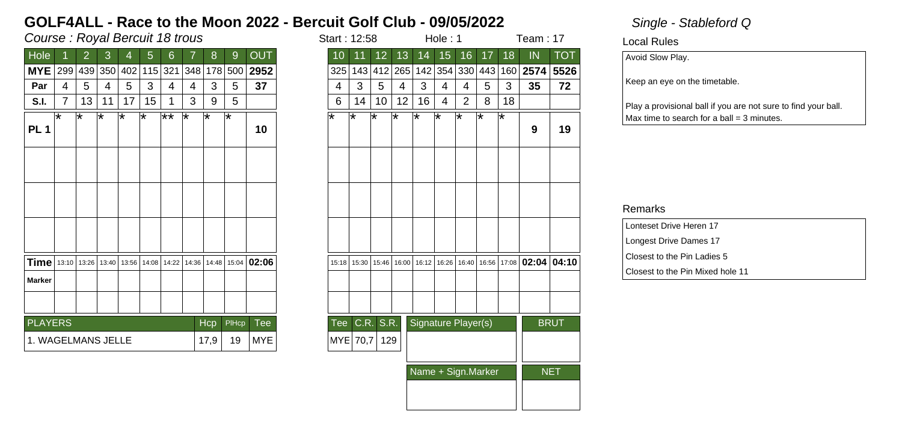## Course : Royal Bercuit 18 trous in the start is started to the start in the start in the start in the start in the start in the start in the start in the start in the start in the start in the start in the start in the sta

| <b>OUT</b><br>Hole<br>13<br>15 <sub>1</sub><br>16<br>17<br>$\overline{2}$<br>3<br>6<br>8<br>12 <sub>2</sub><br>5<br>9<br>10<br>14<br>11<br>4<br><b>MYE</b><br>2952<br>354 330 443<br>299<br>439 350<br>402<br>115 321<br> 348 <br>325<br>412 265 142<br>178<br>500<br>143<br>3<br>3<br>37<br>3<br>3<br>5<br>5<br>5<br>5<br>5<br>Par<br>4<br>4<br>4<br>4<br>4<br>4<br>4<br>4<br>13<br>15<br>3<br>5<br>16<br>$\overline{2}$<br>7<br>17<br>9<br>6<br>10<br>12<br>8<br>11<br>1<br>14<br>4<br>S.I.<br>$\star\star$<br>⊺∗<br>ѭ<br>⊺*<br>ᅚ<br>⊺∗<br>ஈ<br>⊺∗<br>ஈ<br>⊺*<br>ஈ<br>⊺*<br>ѭ<br>౹∗<br>⊺*<br>⊺∗<br>⊺∗<br>PL <sub>1</sub><br>10<br>Time   13:10<br>15:04 02:06<br>13:26<br>13:56   14:08   14:22   14:36<br>14:48<br>15:46   16:00   16:12   16:26   16:40  <br>13:40<br>15:30<br>15:18<br><b>Marker</b><br>C.R. S.R.<br>Signature Player(s)<br><b>PLAYERS</b><br>Tee<br>Hcp<br>PIHcp<br>Tee<br>1. WAGELMANS JELLE<br>19<br><b>MYE</b><br>MYE 70,7<br>129<br>17,9 |
|--------------------------------------------------------------------------------------------------------------------------------------------------------------------------------------------------------------------------------------------------------------------------------------------------------------------------------------------------------------------------------------------------------------------------------------------------------------------------------------------------------------------------------------------------------------------------------------------------------------------------------------------------------------------------------------------------------------------------------------------------------------------------------------------------------------------------------------------------------------------------------------------------------------------------------------------------------------------|
| 160                                                                                                                                                                                                                                                                                                                                                                                                                                                                                                                                                                                                                                                                                                                                                                                                                                                                                                                                                                |
| 3<br>l*                                                                                                                                                                                                                                                                                                                                                                                                                                                                                                                                                                                                                                                                                                                                                                                                                                                                                                                                                            |
| 18                                                                                                                                                                                                                                                                                                                                                                                                                                                                                                                                                                                                                                                                                                                                                                                                                                                                                                                                                                 |
|                                                                                                                                                                                                                                                                                                                                                                                                                                                                                                                                                                                                                                                                                                                                                                                                                                                                                                                                                                    |
|                                                                                                                                                                                                                                                                                                                                                                                                                                                                                                                                                                                                                                                                                                                                                                                                                                                                                                                                                                    |
| 16:56 17:08 02:04 04:10                                                                                                                                                                                                                                                                                                                                                                                                                                                                                                                                                                                                                                                                                                                                                                                                                                                                                                                                            |
|                                                                                                                                                                                                                                                                                                                                                                                                                                                                                                                                                                                                                                                                                                                                                                                                                                                                                                                                                                    |
|                                                                                                                                                                                                                                                                                                                                                                                                                                                                                                                                                                                                                                                                                                                                                                                                                                                                                                                                                                    |
|                                                                                                                                                                                                                                                                                                                                                                                                                                                                                                                                                                                                                                                                                                                                                                                                                                                                                                                                                                    |
|                                                                                                                                                                                                                                                                                                                                                                                                                                                                                                                                                                                                                                                                                                                                                                                                                                                                                                                                                                    |
|                                                                                                                                                                                                                                                                                                                                                                                                                                                                                                                                                                                                                                                                                                                                                                                                                                                                                                                                                                    |
|                                                                                                                                                                                                                                                                                                                                                                                                                                                                                                                                                                                                                                                                                                                                                                                                                                                                                                                                                                    |
|                                                                                                                                                                                                                                                                                                                                                                                                                                                                                                                                                                                                                                                                                                                                                                                                                                                                                                                                                                    |

| tart : 12:58 |       |       |       |                     | Hole: 1 |       |                    |                 | Team : 17 |                         |
|--------------|-------|-------|-------|---------------------|---------|-------|--------------------|-----------------|-----------|-------------------------|
| 10           | 11    | 12    | 13    | 14                  | 15      | 16    | 17                 | $\overline{18}$ | IN        | $\overline{\text{TOT}}$ |
| 325          | 143   | 412   | 265   | 142                 | 354     | 330   | 443                | 160             | 2574      | 5526                    |
| 4            | 3     | 5     | 4     | 3                   | 4       | 4     | 5                  | 3               | 35        | 72                      |
| 6            | 14    | 10    | 12    | 16                  | 4       | 2     | 8                  | 18              |           |                         |
| ∗            | ∗     | ∗     | ∗     | ∗                   | ∗       | ∗     | ∗                  | ∗               | 9         | 19                      |
|              |       |       |       |                     |         |       |                    |                 |           |                         |
|              |       |       |       |                     |         |       |                    |                 |           |                         |
|              |       |       |       |                     |         |       |                    |                 |           |                         |
| 15:18        | 15:30 | 15:46 | 16:00 | 16:12               | 16:26   | 16:40 | 16:56              | 17:08           | 02:04     | 04:10                   |
|              |       |       |       |                     |         |       |                    |                 |           |                         |
|              |       |       |       |                     |         |       |                    |                 |           |                         |
| Tee          | C.R.  | S.R.  |       | Signature Player(s) |         |       |                    |                 |           | <b>BRUT</b>             |
| <b>MYE</b>   | 70,7  | 129   |       |                     |         |       |                    |                 |           |                         |
|              |       |       |       |                     |         |       | Name + Sign.Marker |                 |           | <b>NET</b>              |
|              |       |       |       |                     |         |       |                    |                 |           |                         |
|              |       |       |       |                     |         |       |                    |                 |           |                         |

Local Rules

Avoid Slow Play.

Keep an eye on the timetable.

Play a provisional ball if you are not sure to find your ball.  $Max$  time to search for a ball = 3 minutes.

| Lonteset Drive Heren 17          |
|----------------------------------|
| Longest Drive Dames 17           |
| Closest to the Pin Ladies 5      |
| Closest to the Pin Mixed hole 11 |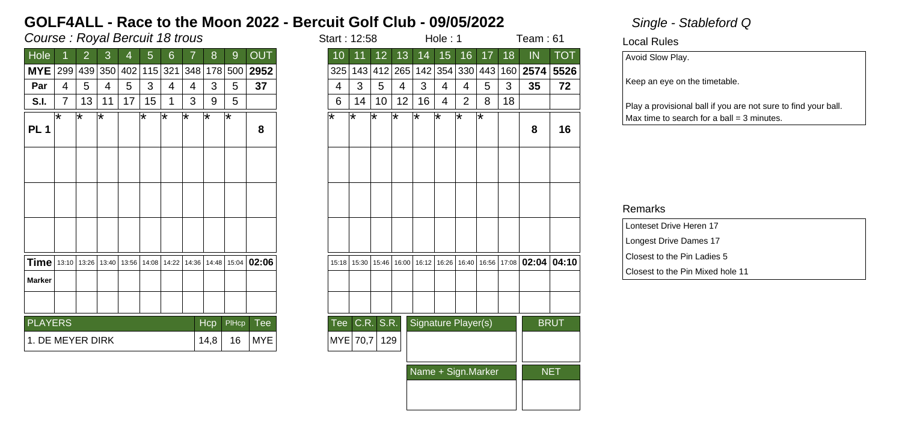## Course : Royal Bercuit 18 trous in the start is started in the start in the start in the start in the start in the start in the start in the start in the start in the start in the start in the start in the start in the sta

| Hole                                |   | 2           | 3  | 4   | 5  | 6       |                               | 8                        | 9     | <b>OUT</b>        |  |
|-------------------------------------|---|-------------|----|-----|----|---------|-------------------------------|--------------------------|-------|-------------------|--|
| <b>MYE</b>                          |   | 299 439 350 |    | 402 |    | 115 321 | 348                           | 178                      | 500   | 2952              |  |
| Par                                 | 4 | 5           | 4  | 5   | 3  | 4       | 4                             | 3                        | 5     | 37                |  |
| S.I.                                | 7 | 13          | 11 | 17  | 15 | 1       | 3                             | 9                        | 5     |                   |  |
| PL <sub>1</sub>                     | ѭ | ѭ           | ⊺* |     | ⊺∗ | ∗       | ⊺∗                            | ౹∗                       | ౹∗    | 8                 |  |
|                                     |   |             |    |     |    |         |                               |                          |       |                   |  |
|                                     |   |             |    |     |    |         |                               |                          |       |                   |  |
|                                     |   |             |    |     |    |         |                               |                          |       |                   |  |
| <b>Time</b>   13:10   13:26   13:40 |   |             |    |     |    |         | 13:56   14:08   14:22   14:36 |                          |       | 14:48 15:04 02:06 |  |
| <b>Marker</b>                       |   |             |    |     |    |         |                               |                          |       |                   |  |
|                                     |   |             |    |     |    |         |                               |                          |       |                   |  |
| <b>PLAYERS</b>                      |   |             |    |     |    |         |                               | Hcp                      | PIHcp | Tee               |  |
| 1. DE MEYER DIRK                    |   |             |    |     |    |         |                               | <b>MYE</b><br>16<br>14,8 |       |                   |  |

| tart : 12:58 |        |       |       |                     | Hole: 1 |                         |        |       | Team : 61 |             |
|--------------|--------|-------|-------|---------------------|---------|-------------------------|--------|-------|-----------|-------------|
| 10           | 11     | 12    | 13    | 14                  | 15      | 16                      | 17     | 18    | IN        | <b>TOT</b>  |
| 325          | 143    | 412   | 265   | 142                 | 354     | 330                     | 443    | 160   | 2574      | 5526        |
| 4            | 3      | 5     | 4     | 3                   | 4       | 4                       | 5      | 3     | 35        | 72          |
| 6            | 14     | 10    | 12    | 16                  | 4       | 2                       | 8      | 18    |           |             |
| ∗            | $\ast$ | ∗     | ∗     | ¥                   | ∗       | $\overline{\textbf{x}}$ | $\ast$ |       | 8         | 16          |
|              |        |       |       |                     |         |                         |        |       |           |             |
|              |        |       |       |                     |         |                         |        |       |           |             |
|              |        |       |       |                     |         |                         |        |       |           |             |
| 15:18        | 15:30  | 15:46 | 16:00 | 16:12               | 16:26   | 16:40                   | 16:56  | 17:08 | 02:04     | 04:10       |
|              |        |       |       |                     |         |                         |        |       |           |             |
|              |        |       |       |                     |         |                         |        |       |           |             |
| Tee          | C.R.   | S.R.  |       | Signature Player(s) |         |                         |        |       |           | <b>BRUT</b> |
| MYE          | 70,7   | 129   |       |                     |         |                         |        |       |           |             |
|              |        |       |       | Name + Sign.Marker  |         | <b>NET</b>              |        |       |           |             |
|              |        |       |       |                     |         |                         |        |       |           |             |

Local Rules

Avoid Slow Play.

Keep an eye on the timetable.

Play a provisional ball if you are not sure to find your ball.  $Max$  time to search for a ball = 3 minutes.

| Lonteset Drive Heren 17          |
|----------------------------------|
| Longest Drive Dames 17           |
| Closest to the Pin Ladies 5      |
| Closest to the Pin Mixed hole 11 |